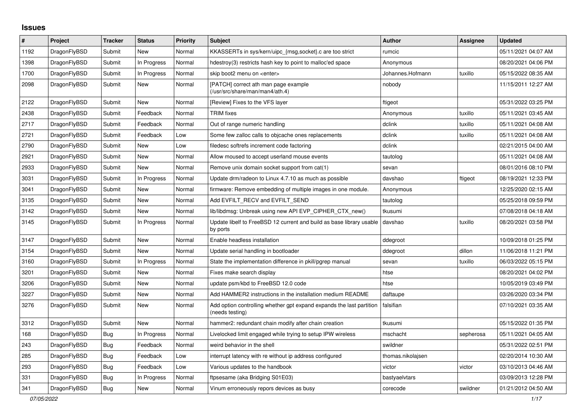## **Issues**

| $\vert$ # | Project      | <b>Tracker</b> | <b>Status</b> | <b>Priority</b> | <b>Subject</b>                                                                          | <b>Author</b>     | Assignee  | <b>Updated</b>      |
|-----------|--------------|----------------|---------------|-----------------|-----------------------------------------------------------------------------------------|-------------------|-----------|---------------------|
| 1192      | DragonFlyBSD | Submit         | <b>New</b>    | Normal          | KKASSERTs in sys/kern/uipc_{msg,socket}.c are too strict                                | rumcic            |           | 05/11/2021 04:07 AM |
| 1398      | DragonFlyBSD | Submit         | In Progress   | Normal          | hdestroy(3) restricts hash key to point to malloc'ed space                              | Anonymous         |           | 08/20/2021 04:06 PM |
| 1700      | DragonFlyBSD | Submit         | In Progress   | Normal          | skip boot2 menu on <enter></enter>                                                      | Johannes.Hofmann  | tuxillo   | 05/15/2022 08:35 AM |
| 2098      | DragonFlyBSD | Submit         | New           | Normal          | [PATCH] correct ath man page example<br>(/usr/src/share/man/man4/ath.4)                 | nobody            |           | 11/15/2011 12:27 AM |
| 2122      | DragonFlyBSD | Submit         | New           | Normal          | [Review] Fixes to the VFS layer                                                         | ftigeot           |           | 05/31/2022 03:25 PM |
| 2438      | DragonFlyBSD | Submit         | Feedback      | Normal          | <b>TRIM</b> fixes                                                                       | Anonymous         | tuxillo   | 05/11/2021 03:45 AM |
| 2717      | DragonFlyBSD | Submit         | Feedback      | Normal          | Out of range numeric handling                                                           | dclink            | tuxillo   | 05/11/2021 04:08 AM |
| 2721      | DragonFlyBSD | Submit         | Feedback      | Low             | Some few zalloc calls to objcache ones replacements                                     | dclink            | tuxillo   | 05/11/2021 04:08 AM |
| 2790      | DragonFlyBSD | Submit         | <b>New</b>    | Low             | filedesc softrefs increment code factoring                                              | dclink            |           | 02/21/2015 04:00 AM |
| 2921      | DragonFlyBSD | Submit         | New           | Normal          | Allow moused to accept userland mouse events                                            | tautolog          |           | 05/11/2021 04:08 AM |
| 2933      | DragonFlyBSD | Submit         | <b>New</b>    | Normal          | Remove unix domain socket support from cat(1)                                           | sevan             |           | 08/01/2016 08:10 PM |
| 3031      | DragonFlyBSD | Submit         | In Progress   | Normal          | Update drm/radeon to Linux 4.7.10 as much as possible                                   | davshao           | ftigeot   | 08/19/2021 12:33 PM |
| 3041      | DragonFlyBSD | Submit         | New           | Normal          | firmware: Remove embedding of multiple images in one module.                            | Anonymous         |           | 12/25/2020 02:15 AM |
| 3135      | DragonFlyBSD | Submit         | New           | Normal          | Add EVFILT RECV and EVFILT SEND                                                         | tautolog          |           | 05/25/2018 09:59 PM |
| 3142      | DragonFlyBSD | Submit         | <b>New</b>    | Normal          | lib/libdmsg: Unbreak using new API EVP CIPHER CTX new()                                 | tkusumi           |           | 07/08/2018 04:18 AM |
| 3145      | DragonFlyBSD | Submit         | In Progress   | Normal          | Update libelf to FreeBSD 12 current and build as base library usable<br>by ports        | davshao           | tuxillo   | 08/20/2021 03:58 PM |
| 3147      | DragonFlyBSD | Submit         | <b>New</b>    | Normal          | Enable headless installation                                                            | ddegroot          |           | 10/09/2018 01:25 PM |
| 3154      | DragonFlyBSD | Submit         | <b>New</b>    | Normal          | Update serial handling in bootloader                                                    | ddegroot          | dillon    | 11/06/2018 11:21 PM |
| 3160      | DragonFlyBSD | Submit         | In Progress   | Normal          | State the implementation difference in pkill/pgrep manual                               | sevan             | tuxillo   | 06/03/2022 05:15 PM |
| 3201      | DragonFlyBSD | Submit         | New           | Normal          | Fixes make search display                                                               | htse              |           | 08/20/2021 04:02 PM |
| 3206      | DragonFlyBSD | Submit         | New           | Normal          | update psm/kbd to FreeBSD 12.0 code                                                     | htse              |           | 10/05/2019 03:49 PM |
| 3227      | DragonFlyBSD | Submit         | New           | Normal          | Add HAMMER2 instructions in the installation medium README                              | daftaupe          |           | 03/26/2020 03:34 PM |
| 3276      | DragonFlyBSD | Submit         | <b>New</b>    | Normal          | Add option controlling whether gpt expand expands the last partition<br>(needs testing) | falsifian         |           | 07/10/2021 03:35 AM |
| 3312      | DragonFlyBSD | Submit         | New           | Normal          | hammer2: redundant chain modify after chain creation                                    | tkusumi           |           | 05/15/2022 01:35 PM |
| 168       | DragonFlyBSD | Bug            | In Progress   | Normal          | Livelocked limit engaged while trying to setup IPW wireless                             | mschacht          | sepherosa | 05/11/2021 04:05 AM |
| 243       | DragonFlyBSD | <b>Bug</b>     | Feedback      | Normal          | weird behavior in the shell                                                             | swildner          |           | 05/31/2022 02:51 PM |
| 285       | DragonFlyBSD | Bug            | Feedback      | Low             | interrupt latency with re without ip address configured                                 | thomas.nikolajsen |           | 02/20/2014 10:30 AM |
| 293       | DragonFlyBSD | Bug            | Feedback      | Low             | Various updates to the handbook                                                         | victor            | victor    | 03/10/2013 04:46 AM |
| 331       | DragonFlyBSD | Bug            | In Progress   | Normal          | ftpsesame (aka Bridging S01E03)                                                         | bastyaelvtars     |           | 03/09/2013 12:28 PM |
| 341       | DragonFlyBSD | <b>Bug</b>     | New           | Normal          | Vinum erroneously repors devices as busy                                                | corecode          | swildner  | 01/21/2012 04:50 AM |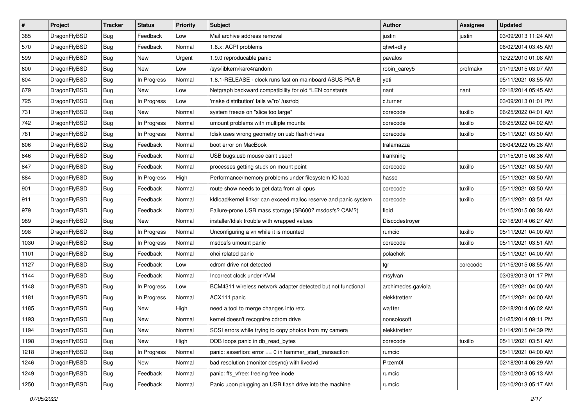| $\sharp$ | Project      | <b>Tracker</b> | <b>Status</b> | <b>Priority</b> | Subject                                                          | <b>Author</b>      | <b>Assignee</b> | <b>Updated</b>      |
|----------|--------------|----------------|---------------|-----------------|------------------------------------------------------------------|--------------------|-----------------|---------------------|
| 385      | DragonFlyBSD | Bug            | Feedback      | Low             | Mail archive address removal                                     | justin             | justin          | 03/09/2013 11:24 AM |
| 570      | DragonFlyBSD | <b>Bug</b>     | Feedback      | Normal          | 1.8.x: ACPI problems                                             | qhwt+dfly          |                 | 06/02/2014 03:45 AM |
| 599      | DragonFlyBSD | <b>Bug</b>     | New           | Urgent          | 1.9.0 reproducable panic                                         | pavalos            |                 | 12/22/2010 01:08 AM |
| 600      | DragonFlyBSD | <b>Bug</b>     | New           | Low             | /sys/libkern/karc4random                                         | robin_carey5       | profmakx        | 01/19/2015 03:07 AM |
| 604      | DragonFlyBSD | <b>Bug</b>     | In Progress   | Normal          | 1.8.1-RELEASE - clock runs fast on mainboard ASUS P5A-B          | yeti               |                 | 05/11/2021 03:55 AM |
| 679      | DragonFlyBSD | <b>Bug</b>     | New           | Low             | Netgraph backward compatibility for old *LEN constants           | nant               | nant            | 02/18/2014 05:45 AM |
| 725      | DragonFlyBSD | <b>Bug</b>     | In Progress   | Low             | 'make distribution' fails w/'ro' /usr/obj                        | c.turner           |                 | 03/09/2013 01:01 PM |
| 731      | DragonFlyBSD | <b>Bug</b>     | New           | Normal          | system freeze on "slice too large"                               | corecode           | tuxillo         | 06/25/2022 04:01 AM |
| 742      | DragonFlyBSD | Bug            | In Progress   | Normal          | umount problems with multiple mounts                             | corecode           | tuxillo         | 06/25/2022 04:02 AM |
| 781      | DragonFlyBSD | Bug            | In Progress   | Normal          | fdisk uses wrong geometry on usb flash drives                    | corecode           | tuxillo         | 05/11/2021 03:50 AM |
| 806      | DragonFlyBSD | <b>Bug</b>     | Feedback      | Normal          | boot error on MacBook                                            | tralamazza         |                 | 06/04/2022 05:28 AM |
| 846      | DragonFlyBSD | <b>Bug</b>     | Feedback      | Normal          | USB bugs:usb mouse can't used!                                   | frankning          |                 | 01/15/2015 08:36 AM |
| 847      | DragonFlyBSD | <b>Bug</b>     | Feedback      | Normal          | processes getting stuck on mount point                           | corecode           | tuxillo         | 05/11/2021 03:50 AM |
| 884      | DragonFlyBSD | <b>Bug</b>     | In Progress   | High            | Performance/memory problems under filesystem IO load             | hasso              |                 | 05/11/2021 03:50 AM |
| 901      | DragonFlyBSD | Bug            | Feedback      | Normal          | route show needs to get data from all cpus                       | corecode           | tuxillo         | 05/11/2021 03:50 AM |
| 911      | DragonFlyBSD | <b>Bug</b>     | Feedback      | Normal          | kldload/kernel linker can exceed malloc reserve and panic system | corecode           | tuxillo         | 05/11/2021 03:51 AM |
| 979      | DragonFlyBSD | <b>Bug</b>     | Feedback      | Normal          | Failure-prone USB mass storage (SB600? msdosfs? CAM?)            | floid              |                 | 01/15/2015 08:38 AM |
| 989      | DragonFlyBSD | Bug            | <b>New</b>    | Normal          | installer/fdisk trouble with wrapped values                      | Discodestroyer     |                 | 02/18/2014 06:27 AM |
| 998      | DragonFlyBSD | <b>Bug</b>     | In Progress   | Normal          | Unconfiguring a vn while it is mounted                           | rumcic             | tuxillo         | 05/11/2021 04:00 AM |
| 1030     | DragonFlyBSD | <b>Bug</b>     | In Progress   | Normal          | msdosfs umount panic                                             | corecode           | tuxillo         | 05/11/2021 03:51 AM |
| 1101     | DragonFlyBSD | <b>Bug</b>     | Feedback      | Normal          | ohci related panic                                               | polachok           |                 | 05/11/2021 04:00 AM |
| 1127     | DragonFlyBSD | <b>Bug</b>     | Feedback      | Low             | cdrom drive not detected                                         | tgr                | corecode        | 01/15/2015 08:55 AM |
| 1144     | DragonFlyBSD | Bug            | Feedback      | Normal          | Incorrect clock under KVM                                        | msylvan            |                 | 03/09/2013 01:17 PM |
| 1148     | DragonFlyBSD | <b>Bug</b>     | In Progress   | Low             | BCM4311 wireless network adapter detected but not functional     | archimedes.gaviola |                 | 05/11/2021 04:00 AM |
| 1181     | DragonFlyBSD | <b>Bug</b>     | In Progress   | Normal          | ACX111 panic                                                     | elekktretterr      |                 | 05/11/2021 04:00 AM |
| 1185     | DragonFlyBSD | Bug            | New           | High            | need a tool to merge changes into /etc                           | wa1ter             |                 | 02/18/2014 06:02 AM |
| 1193     | DragonFlyBSD | <b>Bug</b>     | <b>New</b>    | Normal          | kernel doesn't recognize cdrom drive                             | nonsolosoft        |                 | 01/25/2014 09:11 PM |
| 1194     | DragonFlyBSD | <b>Bug</b>     | New           | Normal          | SCSI errors while trying to copy photos from my camera           | elekktretterr      |                 | 01/14/2015 04:39 PM |
| 1198     | DragonFlyBSD | <b>Bug</b>     | New           | High            | DDB loops panic in db read bytes                                 | corecode           | tuxillo         | 05/11/2021 03:51 AM |
| 1218     | DragonFlyBSD | <b>Bug</b>     | In Progress   | Normal          | panic: assertion: $error == 0$ in hammer start transaction       | rumcic             |                 | 05/11/2021 04:00 AM |
| 1246     | DragonFlyBSD | <b>Bug</b>     | New           | Normal          | bad resolution (monitor desync) with livedvd                     | Przem0l            |                 | 02/18/2014 06:29 AM |
| 1249     | DragonFlyBSD | <b>Bug</b>     | Feedback      | Normal          | panic: ffs_vfree: freeing free inode                             | rumcic             |                 | 03/10/2013 05:13 AM |
| 1250     | DragonFlyBSD | <b>Bug</b>     | Feedback      | Normal          | Panic upon plugging an USB flash drive into the machine          | rumcic             |                 | 03/10/2013 05:17 AM |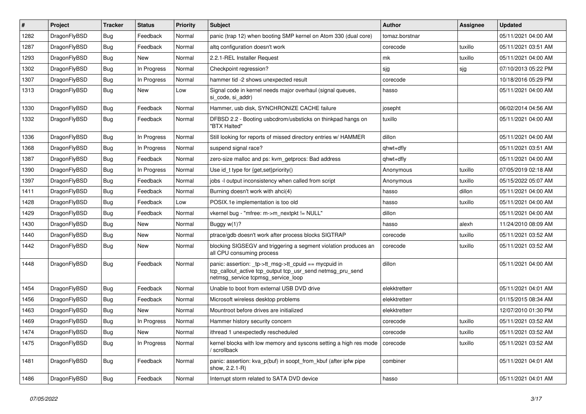| $\sharp$ | Project      | <b>Tracker</b> | <b>Status</b> | <b>Priority</b> | <b>Subject</b>                                                                                                                                            | <b>Author</b>  | Assignee | <b>Updated</b>      |
|----------|--------------|----------------|---------------|-----------------|-----------------------------------------------------------------------------------------------------------------------------------------------------------|----------------|----------|---------------------|
| 1282     | DragonFlyBSD | <b>Bug</b>     | Feedback      | Normal          | panic (trap 12) when booting SMP kernel on Atom 330 (dual core)                                                                                           | tomaz.borstnar |          | 05/11/2021 04:00 AM |
| 1287     | DragonFlyBSD | <b>Bug</b>     | Feedback      | Normal          | altg configuration doesn't work                                                                                                                           | corecode       | tuxillo  | 05/11/2021 03:51 AM |
| 1293     | DragonFlyBSD | <b>Bug</b>     | New           | Normal          | 2.2.1-REL Installer Request                                                                                                                               | mk             | tuxillo  | 05/11/2021 04:00 AM |
| 1302     | DragonFlyBSD | Bug            | In Progress   | Normal          | Checkpoint regression?                                                                                                                                    | sjg            | sjg      | 07/10/2013 05:22 PM |
| 1307     | DragonFlyBSD | <b>Bug</b>     | In Progress   | Normal          | hammer tid -2 shows unexpected result                                                                                                                     | corecode       |          | 10/18/2016 05:29 PM |
| 1313     | DragonFlyBSD | Bug            | New           | Low             | Signal code in kernel needs major overhaul (signal queues,<br>si_code, si_addr)                                                                           | hasso          |          | 05/11/2021 04:00 AM |
| 1330     | DragonFlyBSD | <b>Bug</b>     | Feedback      | Normal          | Hammer, usb disk, SYNCHRONIZE CACHE failure                                                                                                               | josepht        |          | 06/02/2014 04:56 AM |
| 1332     | DragonFlyBSD | Bug            | Feedback      | Normal          | DFBSD 2.2 - Booting usbcdrom/usbsticks on thinkpad hangs on<br>"BTX Halted"                                                                               | tuxillo        |          | 05/11/2021 04:00 AM |
| 1336     | DragonFlyBSD | <b>Bug</b>     | In Progress   | Normal          | Still looking for reports of missed directory entries w/ HAMMER                                                                                           | dillon         |          | 05/11/2021 04:00 AM |
| 1368     | DragonFlyBSD | Bug            | In Progress   | Normal          | suspend signal race?                                                                                                                                      | qhwt+dfly      |          | 05/11/2021 03:51 AM |
| 1387     | DragonFlyBSD | <b>Bug</b>     | Feedback      | Normal          | zero-size malloc and ps: kvm_getprocs: Bad address                                                                                                        | qhwt+dfly      |          | 05/11/2021 04:00 AM |
| 1390     | DragonFlyBSD | <b>Bug</b>     | In Progress   | Normal          | Use id_t type for {get,set}priority()                                                                                                                     | Anonymous      | tuxillo  | 07/05/2019 02:18 AM |
| 1397     | DragonFlyBSD | Bug            | Feedback      | Normal          | jobs -I output inconsistency when called from script                                                                                                      | Anonymous      | tuxillo  | 05/15/2022 05:07 AM |
| 1411     | DragonFlyBSD | <b>Bug</b>     | Feedback      | Normal          | Burning doesn't work with ahci(4)                                                                                                                         | hasso          | dillon   | 05/11/2021 04:00 AM |
| 1428     | DragonFlyBSD | Bug            | Feedback      | Low             | POSIX.1e implementation is too old                                                                                                                        | hasso          | tuxillo  | 05/11/2021 04:00 AM |
| 1429     | DragonFlyBSD | <b>Bug</b>     | Feedback      | Normal          | vkernel bug - "mfree: m->m_nextpkt != NULL"                                                                                                               | dillon         |          | 05/11/2021 04:00 AM |
| 1430     | DragonFlyBSD | Bug            | New           | Normal          | Buggy $w(1)$ ?                                                                                                                                            | hasso          | alexh    | 11/24/2010 08:09 AM |
| 1440     | DragonFlyBSD | Bug            | <b>New</b>    | Normal          | ptrace/gdb doesn't work after process blocks SIGTRAP                                                                                                      | corecode       | tuxillo  | 05/11/2021 03:52 AM |
| 1442     | DragonFlyBSD | Bug            | New           | Normal          | blocking SIGSEGV and triggering a segment violation produces an<br>all CPU consuming process                                                              | corecode       | tuxillo  | 05/11/2021 03:52 AM |
| 1448     | DragonFlyBSD | <b>Bug</b>     | Feedback      | Normal          | panic: assertion: _tp->tt_msg->tt_cpuid == mycpuid in<br>tcp_callout_active tcp_output tcp_usr_send netmsg_pru_send<br>netmsg_service tcpmsg_service_loop | dillon         |          | 05/11/2021 04:00 AM |
| 1454     | DragonFlyBSD | Bug            | Feedback      | Normal          | Unable to boot from external USB DVD drive                                                                                                                | elekktretterr  |          | 05/11/2021 04:01 AM |
| 1456     | DragonFlyBSD | Bug            | Feedback      | Normal          | Microsoft wireless desktop problems                                                                                                                       | elekktretterr  |          | 01/15/2015 08:34 AM |
| 1463     | DragonFlyBSD | Bug            | New           | Normal          | Mountroot before drives are initialized                                                                                                                   | elekktretterr  |          | 12/07/2010 01:30 PM |
| 1469     | DragonFlyBSD | <b>Bug</b>     | In Progress   | Normal          | Hammer history security concern                                                                                                                           | corecode       | tuxillo  | 05/11/2021 03:52 AM |
| 1474     | DragonFlyBSD | <b>Bug</b>     | New           | Normal          | ithread 1 unexpectedly rescheduled                                                                                                                        | corecode       | tuxillo  | 05/11/2021 03:52 AM |
| 1475     | DragonFlyBSD | <b>Bug</b>     | In Progress   | Normal          | kernel blocks with low memory and syscons setting a high res mode<br>/ scrollback                                                                         | corecode       | tuxillo  | 05/11/2021 03:52 AM |
| 1481     | DragonFlyBSD | <b>Bug</b>     | Feedback      | Normal          | panic: assertion: kva_p(buf) in soopt_from_kbuf (after ipfw pipe<br>show, 2.2.1-R)                                                                        | combiner       |          | 05/11/2021 04:01 AM |
| 1486     | DragonFlyBSD | <b>Bug</b>     | Feedback      | Normal          | Interrupt storm related to SATA DVD device                                                                                                                | hasso          |          | 05/11/2021 04:01 AM |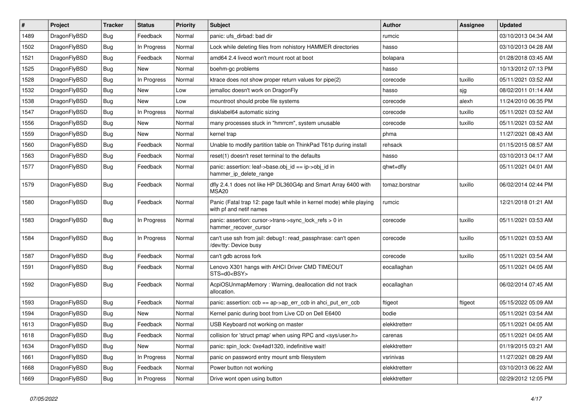| ∦    | Project      | <b>Tracker</b> | <b>Status</b> | <b>Priority</b> | <b>Subject</b>                                                                                  | <b>Author</b>  | <b>Assignee</b> | <b>Updated</b>      |
|------|--------------|----------------|---------------|-----------------|-------------------------------------------------------------------------------------------------|----------------|-----------------|---------------------|
| 1489 | DragonFlyBSD | Bug            | Feedback      | Normal          | panic: ufs dirbad: bad dir                                                                      | rumcic         |                 | 03/10/2013 04:34 AM |
| 1502 | DragonFlyBSD | <b>Bug</b>     | In Progress   | Normal          | Lock while deleting files from nohistory HAMMER directories                                     | hasso          |                 | 03/10/2013 04:28 AM |
| 1521 | DragonFlyBSD | <b>Bug</b>     | Feedback      | Normal          | amd64 2.4 livecd won't mount root at boot                                                       | bolapara       |                 | 01/28/2018 03:45 AM |
| 1525 | DragonFlyBSD | <b>Bug</b>     | <b>New</b>    | Normal          | boehm-gc problems                                                                               | hasso          |                 | 10/13/2012 07:13 PM |
| 1528 | DragonFlyBSD | Bug            | In Progress   | Normal          | ktrace does not show proper return values for pipe(2)                                           | corecode       | tuxillo         | 05/11/2021 03:52 AM |
| 1532 | DragonFlyBSD | Bug            | <b>New</b>    | Low             | jemalloc doesn't work on DragonFly                                                              | hasso          | sjg             | 08/02/2011 01:14 AM |
| 1538 | DragonFlyBSD | <b>Bug</b>     | <b>New</b>    | Low             | mountroot should probe file systems                                                             | corecode       | alexh           | 11/24/2010 06:35 PM |
| 1547 | DragonFlyBSD | <b>Bug</b>     | In Progress   | Normal          | disklabel64 automatic sizing                                                                    | corecode       | tuxillo         | 05/11/2021 03:52 AM |
| 1556 | DragonFlyBSD | Bug            | <b>New</b>    | Normal          | many processes stuck in "hmrrcm", system unusable                                               | corecode       | tuxillo         | 05/11/2021 03:52 AM |
| 1559 | DragonFlyBSD | Bug            | <b>New</b>    | Normal          | kernel trap                                                                                     | phma           |                 | 11/27/2021 08:43 AM |
| 1560 | DragonFlyBSD | <b>Bug</b>     | Feedback      | Normal          | Unable to modify partition table on ThinkPad T61p during install                                | rehsack        |                 | 01/15/2015 08:57 AM |
| 1563 | DragonFlyBSD | Bug            | Feedback      | Normal          | reset(1) doesn't reset terminal to the defaults                                                 | hasso          |                 | 03/10/2013 04:17 AM |
| 1577 | DragonFlyBSD | Bug            | Feedback      | Normal          | panic: assertion: leaf->base.obj_id == ip->obj_id in<br>hammer_ip_delete_range                  | qhwt+dfly      |                 | 05/11/2021 04:01 AM |
| 1579 | DragonFlyBSD | <b>Bug</b>     | Feedback      | Normal          | dfly 2.4.1 does not like HP DL360G4p and Smart Array 6400 with<br>MSA <sub>20</sub>             | tomaz.borstnar | tuxillo         | 06/02/2014 02:44 PM |
| 1580 | DragonFlyBSD | Bug            | Feedback      | Normal          | Panic (Fatal trap 12: page fault while in kernel mode) while playing<br>with pf and netif names | rumcic         |                 | 12/21/2018 01:21 AM |
| 1583 | DragonFlyBSD | <b>Bug</b>     | In Progress   | Normal          | panic: assertion: cursor->trans->sync_lock_refs > 0 in<br>hammer_recover_cursor                 | corecode       | tuxillo         | 05/11/2021 03:53 AM |
| 1584 | DragonFlyBSD | Bug            | In Progress   | Normal          | can't use ssh from jail: debug1: read_passphrase: can't open<br>/dev/tty: Device busy           | corecode       | tuxillo         | 05/11/2021 03:53 AM |
| 1587 | DragonFlyBSD | Bug            | Feedback      | Normal          | can't gdb across fork                                                                           | corecode       | tuxillo         | 05/11/2021 03:54 AM |
| 1591 | DragonFlyBSD | Bug            | Feedback      | Normal          | Lenovo X301 hangs with AHCI Driver CMD TIMEOUT<br>STS=d0 <bsy></bsy>                            | eocallaghan    |                 | 05/11/2021 04:05 AM |
| 1592 | DragonFlyBSD | <b>Bug</b>     | Feedback      | Normal          | AcpiOSUnmapMemory: Warning, deallocation did not track<br>allocation.                           | eocallaghan    |                 | 06/02/2014 07:45 AM |
| 1593 | DragonFlyBSD | <b>Bug</b>     | Feedback      | Normal          | panic: assertion: ccb == ap->ap_err_ccb in ahci_put_err_ccb                                     | ftigeot        | ftigeot         | 05/15/2022 05:09 AM |
| 1594 | DragonFlyBSD | <b>Bug</b>     | <b>New</b>    | Normal          | Kernel panic during boot from Live CD on Dell E6400                                             | bodie          |                 | 05/11/2021 03:54 AM |
| 1613 | DragonFlyBSD | <b>Bug</b>     | Feedback      | Normal          | USB Keyboard not working on master                                                              | elekktretterr  |                 | 05/11/2021 04:05 AM |
| 1618 | DragonFlyBSD | <b>Bug</b>     | Feedback      | Normal          | collision for 'struct pmap' when using RPC and <sys user.h=""></sys>                            | carenas        |                 | 05/11/2021 04:05 AM |
| 1634 | DragonFlyBSD | <b>Bug</b>     | New           | Normal          | panic: spin lock: 0xe4ad1320, indefinitive wait!                                                | elekktretterr  |                 | 01/19/2015 03:21 AM |
| 1661 | DragonFlyBSD | <b>Bug</b>     | In Progress   | Normal          | panic on password entry mount smb filesystem                                                    | vsrinivas      |                 | 11/27/2021 08:29 AM |
| 1668 | DragonFlyBSD | <b>Bug</b>     | Feedback      | Normal          | Power button not working                                                                        | elekktretterr  |                 | 03/10/2013 06:22 AM |
| 1669 | DragonFlyBSD | <b>Bug</b>     | In Progress   | Normal          | Drive wont open using button                                                                    | elekktretterr  |                 | 02/29/2012 12:05 PM |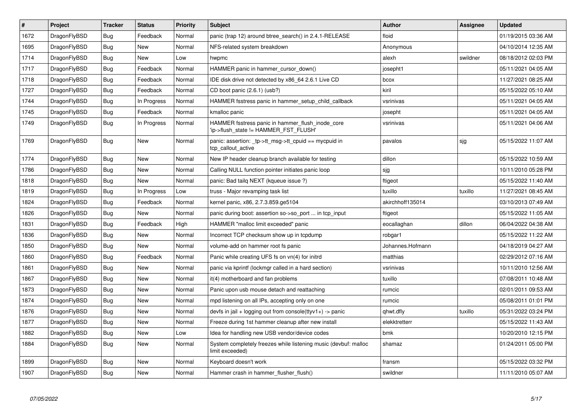| $\vert$ # | <b>Project</b> | <b>Tracker</b> | <b>Status</b> | <b>Priority</b> | <b>Subject</b>                                                                            | <b>Author</b>    | Assignee | <b>Updated</b>      |
|-----------|----------------|----------------|---------------|-----------------|-------------------------------------------------------------------------------------------|------------------|----------|---------------------|
| 1672      | DragonFlyBSD   | <b>Bug</b>     | Feedback      | Normal          | panic (trap 12) around btree search() in 2.4.1-RELEASE                                    | floid            |          | 01/19/2015 03:36 AM |
| 1695      | DragonFlyBSD   | Bug            | <b>New</b>    | Normal          | NFS-related system breakdown                                                              | Anonymous        |          | 04/10/2014 12:35 AM |
| 1714      | DragonFlyBSD   | <b>Bug</b>     | <b>New</b>    | Low             | hwpmc                                                                                     | alexh            | swildner | 08/18/2012 02:03 PM |
| 1717      | DragonFlyBSD   | <b>Bug</b>     | Feedback      | Normal          | HAMMER panic in hammer_cursor_down()                                                      | josepht1         |          | 05/11/2021 04:05 AM |
| 1718      | DragonFlyBSD   | <b>Bug</b>     | Feedback      | Normal          | IDE disk drive not detected by x86_64 2.6.1 Live CD                                       | bcox             |          | 11/27/2021 08:25 AM |
| 1727      | DragonFlyBSD   | Bug            | Feedback      | Normal          | CD boot panic (2.6.1) (usb?)                                                              | kiril            |          | 05/15/2022 05:10 AM |
| 1744      | DragonFlyBSD   | <b>Bug</b>     | In Progress   | Normal          | HAMMER fsstress panic in hammer setup child callback                                      | vsrinivas        |          | 05/11/2021 04:05 AM |
| 1745      | DragonFlyBSD   | <b>Bug</b>     | Feedback      | Normal          | kmalloc panic                                                                             | josepht          |          | 05/11/2021 04:05 AM |
| 1749      | DragonFlyBSD   | <b>Bug</b>     | In Progress   | Normal          | HAMMER fsstress panic in hammer_flush_inode_core<br>'ip->flush state != HAMMER FST FLUSH' | vsrinivas        |          | 05/11/2021 04:06 AM |
| 1769      | DragonFlyBSD   | <b>Bug</b>     | <b>New</b>    | Normal          | panic: assertion: _tp->tt_msg->tt_cpuid == mycpuid in<br>tcp callout active               | pavalos          | sjg      | 05/15/2022 11:07 AM |
| 1774      | DragonFlyBSD   | <b>Bug</b>     | <b>New</b>    | Normal          | New IP header cleanup branch available for testing                                        | dillon           |          | 05/15/2022 10:59 AM |
| 1786      | DragonFlyBSD   | Bug            | <b>New</b>    | Normal          | Calling NULL function pointer initiates panic loop                                        | sjg              |          | 10/11/2010 05:28 PM |
| 1818      | DragonFlyBSD   | <b>Bug</b>     | New           | Normal          | panic: Bad tailg NEXT (kqueue issue ?)                                                    | ftigeot          |          | 05/15/2022 11:40 AM |
| 1819      | DragonFlyBSD   | Bug            | In Progress   | Low             | truss - Major revamping task list                                                         | tuxillo          | tuxillo  | 11/27/2021 08:45 AM |
| 1824      | DragonFlyBSD   | <b>Bug</b>     | Feedback      | Normal          | kernel panic, x86, 2.7.3.859.ge5104                                                       | akirchhoff135014 |          | 03/10/2013 07:49 AM |
| 1826      | DragonFlyBSD   | Bug            | <b>New</b>    | Normal          | panic during boot: assertion so->so port  in tcp input                                    | ftigeot          |          | 05/15/2022 11:05 AM |
| 1831      | DragonFlyBSD   | <b>Bug</b>     | Feedback      | High            | HAMMER "malloc limit exceeded" panic                                                      | eocallaghan      | dillon   | 06/04/2022 04:38 AM |
| 1836      | DragonFlyBSD   | Bug            | <b>New</b>    | Normal          | Incorrect TCP checksum show up in tcpdump                                                 | robgar1          |          | 05/15/2022 11:22 AM |
| 1850      | DragonFlyBSD   | <b>Bug</b>     | <b>New</b>    | Normal          | volume-add on hammer root fs panic                                                        | Johannes.Hofmann |          | 04/18/2019 04:27 AM |
| 1860      | DragonFlyBSD   | <b>Bug</b>     | Feedback      | Normal          | Panic while creating UFS fs on vn(4) for initrd                                           | matthias         |          | 02/29/2012 07:16 AM |
| 1861      | DragonFlyBSD   | <b>Bug</b>     | <b>New</b>    | Normal          | panic via kprintf (lockmgr called in a hard section)                                      | vsrinivas        |          | 10/11/2010 12:56 AM |
| 1867      | DragonFlyBSD   | Bug            | <b>New</b>    | Normal          | it(4) motherboard and fan problems                                                        | tuxillo          |          | 07/08/2011 10:48 AM |
| 1873      | DragonFlyBSD   | <b>Bug</b>     | <b>New</b>    | Normal          | Panic upon usb mouse detach and reattaching                                               | rumcic           |          | 02/01/2011 09:53 AM |
| 1874      | DragonFlyBSD   | <b>Bug</b>     | <b>New</b>    | Normal          | mpd listening on all IPs, accepting only on one                                           | rumcic           |          | 05/08/2011 01:01 PM |
| 1876      | DragonFlyBSD   | <b>Bug</b>     | <b>New</b>    | Normal          | devfs in jail + logging out from console(ttyv1+) -> panic                                 | qhwt.dfly        | tuxillo  | 05/31/2022 03:24 PM |
| 1877      | DragonFlyBSD   | Bug            | <b>New</b>    | Normal          | Freeze during 1st hammer cleanup after new install                                        | elekktretterr    |          | 05/15/2022 11:43 AM |
| 1882      | DragonFlyBSD   | <b>Bug</b>     | <b>New</b>    | Low             | Idea for handling new USB vendor/device codes                                             | bmk              |          | 10/20/2010 12:15 PM |
| 1884      | DragonFlyBSD   | Bug            | <b>New</b>    | Normal          | System completely freezes while listening music (devbuf: malloc<br>limit exceeded)        | shamaz           |          | 01/24/2011 05:00 PM |
| 1899      | DragonFlyBSD   | Bug            | <b>New</b>    | Normal          | Keyboard doesn't work                                                                     | fransm           |          | 05/15/2022 03:32 PM |
| 1907      | DragonFlyBSD   | Bug            | New           | Normal          | Hammer crash in hammer flusher flush()                                                    | swildner         |          | 11/11/2010 05:07 AM |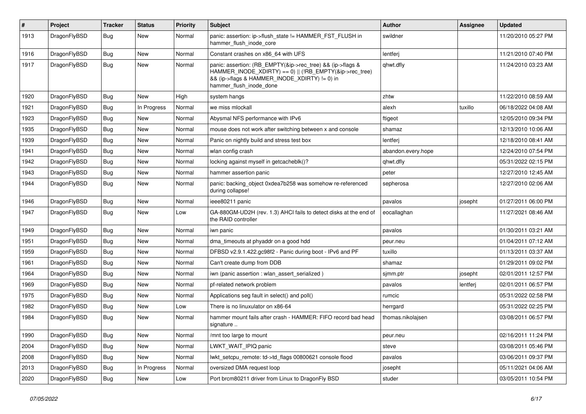| $\vert$ # | Project      | <b>Tracker</b> | <b>Status</b> | <b>Priority</b> | <b>Subject</b>                                                                                                                                                                                    | <b>Author</b>      | <b>Assignee</b> | <b>Updated</b>      |
|-----------|--------------|----------------|---------------|-----------------|---------------------------------------------------------------------------------------------------------------------------------------------------------------------------------------------------|--------------------|-----------------|---------------------|
| 1913      | DragonFlyBSD | Bug            | <b>New</b>    | Normal          | panic: assertion: ip->flush_state != HAMMER_FST_FLUSH in<br>hammer flush inode core                                                                                                               | swildner           |                 | 11/20/2010 05:27 PM |
| 1916      | DragonFlyBSD | Bug            | <b>New</b>    | Normal          | Constant crashes on x86 64 with UFS                                                                                                                                                               | lentferj           |                 | 11/21/2010 07:40 PM |
| 1917      | DragonFlyBSD | Bug            | <b>New</b>    | Normal          | panic: assertion: (RB_EMPTY(&ip->rec_tree) && (ip->flags &<br>HAMMER_INODE_XDIRTY) == 0)    (!RB_EMPTY(&ip->rec_tree)<br>&& (ip->flags & HAMMER_INODE_XDIRTY) != 0) in<br>hammer_flush_inode_done | qhwt.dfly          |                 | 11/24/2010 03:23 AM |
| 1920      | DragonFlyBSD | <b>Bug</b>     | New           | High            | system hangs                                                                                                                                                                                      | zhtw               |                 | 11/22/2010 08:59 AM |
| 1921      | DragonFlyBSD | <b>Bug</b>     | In Progress   | Normal          | we miss mlockall                                                                                                                                                                                  | alexh              | tuxillo         | 06/18/2022 04:08 AM |
| 1923      | DragonFlyBSD | <b>Bug</b>     | <b>New</b>    | Normal          | Abysmal NFS performance with IPv6                                                                                                                                                                 | ftigeot            |                 | 12/05/2010 09:34 PM |
| 1935      | DragonFlyBSD | Bug            | <b>New</b>    | Normal          | mouse does not work after switching between x and console                                                                                                                                         | shamaz             |                 | 12/13/2010 10:06 AM |
| 1939      | DragonFlyBSD | Bug            | <b>New</b>    | Normal          | Panic on nightly build and stress test box                                                                                                                                                        | lentferj           |                 | 12/18/2010 08:41 AM |
| 1941      | DragonFlyBSD | <b>Bug</b>     | <b>New</b>    | Normal          | wlan config crash                                                                                                                                                                                 | abandon.every.hope |                 | 12/24/2010 07:54 PM |
| 1942      | DragonFlyBSD | <b>Bug</b>     | <b>New</b>    | Normal          | locking against myself in getcacheblk()?                                                                                                                                                          | qhwt.dfly          |                 | 05/31/2022 02:15 PM |
| 1943      | DragonFlyBSD | Bug            | <b>New</b>    | Normal          | hammer assertion panic                                                                                                                                                                            | peter              |                 | 12/27/2010 12:45 AM |
| 1944      | DragonFlyBSD | Bug            | <b>New</b>    | Normal          | panic: backing object 0xdea7b258 was somehow re-referenced<br>during collapse!                                                                                                                    | sepherosa          |                 | 12/27/2010 02:06 AM |
| 1946      | DragonFlyBSD | Bug            | <b>New</b>    | Normal          | ieee80211 panic                                                                                                                                                                                   | pavalos            | josepht         | 01/27/2011 06:00 PM |
| 1947      | DragonFlyBSD | Bug            | <b>New</b>    | Low             | GA-880GM-UD2H (rev. 1.3) AHCI fails to detect disks at the end of<br>the RAID controller                                                                                                          | eocallaghan        |                 | 11/27/2021 08:46 AM |
| 1949      | DragonFlyBSD | <b>Bug</b>     | <b>New</b>    | Normal          | iwn panic                                                                                                                                                                                         | pavalos            |                 | 01/30/2011 03:21 AM |
| 1951      | DragonFlyBSD | <b>Bug</b>     | <b>New</b>    | Normal          | dma timeouts at phyaddr on a good hdd                                                                                                                                                             | peur.neu           |                 | 01/04/2011 07:12 AM |
| 1959      | DragonFlyBSD | Bug            | <b>New</b>    | Normal          | DFBSD v2.9.1.422.gc98f2 - Panic during boot - IPv6 and PF                                                                                                                                         | tuxillo            |                 | 01/13/2011 03:37 AM |
| 1961      | DragonFlyBSD | <b>Bug</b>     | <b>New</b>    | Normal          | Can't create dump from DDB                                                                                                                                                                        | shamaz             |                 | 01/29/2011 09:02 PM |
| 1964      | DragonFlyBSD | <b>Bug</b>     | New           | Normal          | iwn (panic assertion : wlan assert serialized)                                                                                                                                                    | sjmm.ptr           | josepht         | 02/01/2011 12:57 PM |
| 1969      | DragonFlyBSD | Bug            | <b>New</b>    | Normal          | pf-related network problem                                                                                                                                                                        | pavalos            | lentferj        | 02/01/2011 06:57 PM |
| 1975      | DragonFlyBSD | <b>Bug</b>     | <b>New</b>    | Normal          | Applications seg fault in select() and poll()                                                                                                                                                     | rumcic             |                 | 05/31/2022 02:58 PM |
| 1982      | DragonFlyBSD | Bug            | <b>New</b>    | Low             | There is no linuxulator on x86-64                                                                                                                                                                 | herrgard           |                 | 05/31/2022 02:25 PM |
| 1984      | DragonFlyBSD | <b>Bug</b>     | New           | Normal          | hammer mount fails after crash - HAMMER: FIFO record bad head<br>signature                                                                                                                        | thomas.nikolajsen  |                 | 03/08/2011 06:57 PM |
| 1990      | DragonFlyBSD | Bug            | New           | Normal          | /mnt too large to mount                                                                                                                                                                           | peur.neu           |                 | 02/16/2011 11:24 PM |
| 2004      | DragonFlyBSD | <b>Bug</b>     | New           | Normal          | LWKT_WAIT_IPIQ panic                                                                                                                                                                              | steve              |                 | 03/08/2011 05:46 PM |
| 2008      | DragonFlyBSD | <b>Bug</b>     | New           | Normal          | lwkt_setcpu_remote: td->td_flags 00800621 console flood                                                                                                                                           | pavalos            |                 | 03/06/2011 09:37 PM |
| 2013      | DragonFlyBSD | Bug            | In Progress   | Normal          | oversized DMA request loop                                                                                                                                                                        | josepht            |                 | 05/11/2021 04:06 AM |
| 2020      | DragonFlyBSD | <b>Bug</b>     | New           | Low             | Port brcm80211 driver from Linux to DragonFly BSD                                                                                                                                                 | studer             |                 | 03/05/2011 10:54 PM |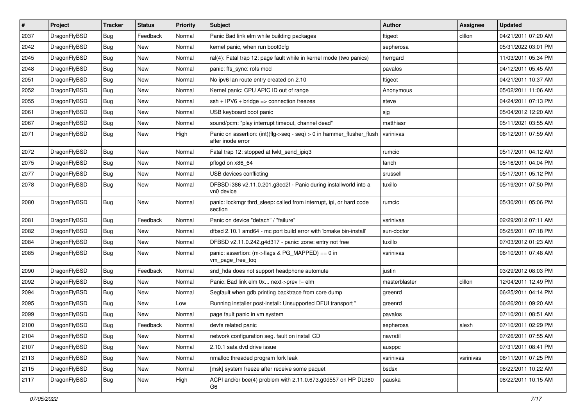| $\pmb{\#}$ | Project      | <b>Tracker</b> | <b>Status</b> | <b>Priority</b> | <b>Subject</b>                                                                             | <b>Author</b> | Assignee  | <b>Updated</b>      |
|------------|--------------|----------------|---------------|-----------------|--------------------------------------------------------------------------------------------|---------------|-----------|---------------------|
| 2037       | DragonFlyBSD | Bug            | Feedback      | Normal          | Panic Bad link elm while building packages                                                 | ftigeot       | dillon    | 04/21/2011 07:20 AM |
| 2042       | DragonFlyBSD | Bug            | <b>New</b>    | Normal          | kernel panic, when run boot0cfg                                                            | sepherosa     |           | 05/31/2022 03:01 PM |
| 2045       | DragonFlyBSD | Bug            | <b>New</b>    | Normal          | ral(4): Fatal trap 12: page fault while in kernel mode (two panics)                        | herrgard      |           | 11/03/2011 05:34 PM |
| 2048       | DragonFlyBSD | Bug            | New           | Normal          | panic: ffs_sync: rofs mod                                                                  | pavalos       |           | 04/12/2011 05:45 AM |
| 2051       | DragonFlyBSD | Bug            | <b>New</b>    | Normal          | No ipv6 lan route entry created on 2.10                                                    | ftigeot       |           | 04/21/2011 10:37 AM |
| 2052       | DragonFlyBSD | Bug            | New           | Normal          | Kernel panic: CPU APIC ID out of range                                                     | Anonymous     |           | 05/02/2011 11:06 AM |
| 2055       | DragonFlyBSD | Bug            | <b>New</b>    | Normal          | $ssh + IPV6 + bridge \Rightarrow connection freezes$                                       | steve         |           | 04/24/2011 07:13 PM |
| 2061       | DragonFlyBSD | Bug            | New           | Normal          | USB keyboard boot panic                                                                    | sjg           |           | 05/04/2012 12:20 AM |
| 2067       | DragonFlyBSD | Bug            | <b>New</b>    | Normal          | sound/pcm: "play interrupt timeout, channel dead"                                          | matthiasr     |           | 05/11/2021 03:55 AM |
| 2071       | DragonFlyBSD | Bug            | <b>New</b>    | High            | Panic on assertion: (int)(flg->seq - seq) > 0 in hammer_flusher_flush<br>after inode error | vsrinivas     |           | 06/12/2011 07:59 AM |
| 2072       | DragonFlyBSD | Bug            | <b>New</b>    | Normal          | Fatal trap 12: stopped at lwkt send ipig3                                                  | rumcic        |           | 05/17/2011 04:12 AM |
| 2075       | DragonFlyBSD | Bug            | <b>New</b>    | Normal          | pflogd on x86_64                                                                           | fanch         |           | 05/16/2011 04:04 PM |
| 2077       | DragonFlyBSD | Bug            | New           | Normal          | USB devices conflicting                                                                    | srussell      |           | 05/17/2011 05:12 PM |
| 2078       | DragonFlyBSD | Bug            | New           | Normal          | DFBSD i386 v2.11.0.201.g3ed2f - Panic during installworld into a<br>vn0 device             | tuxillo       |           | 05/19/2011 07:50 PM |
| 2080       | DragonFlyBSD | Bug            | <b>New</b>    | Normal          | panic: lockmgr thrd_sleep: called from interrupt, ipi, or hard code<br>section             | rumcic        |           | 05/30/2011 05:06 PM |
| 2081       | DragonFlyBSD | Bug            | Feedback      | Normal          | Panic on device "detach" / "failure"                                                       | vsrinivas     |           | 02/29/2012 07:11 AM |
| 2082       | DragonFlyBSD | Bug            | <b>New</b>    | Normal          | dfbsd 2.10.1 amd64 - mc port build error with 'bmake bin-install'                          | sun-doctor    |           | 05/25/2011 07:18 PM |
| 2084       | DragonFlyBSD | Bug            | <b>New</b>    | Normal          | DFBSD v2.11.0.242.g4d317 - panic: zone: entry not free                                     | tuxillo       |           | 07/03/2012 01:23 AM |
| 2085       | DragonFlyBSD | Bug            | New           | Normal          | panic: assertion: (m->flags & PG_MAPPED) == 0 in<br>vm_page_free_toq                       | vsrinivas     |           | 06/10/2011 07:48 AM |
| 2090       | DragonFlyBSD | <b>Bug</b>     | Feedback      | Normal          | snd hda does not support headphone automute                                                | justin        |           | 03/29/2012 08:03 PM |
| 2092       | DragonFlyBSD | Bug            | New           | Normal          | Panic: Bad link elm 0x next->prev != elm                                                   | masterblaster | dillon    | 12/04/2011 12:49 PM |
| 2094       | DragonFlyBSD | Bug            | <b>New</b>    | Normal          | Segfault when gdb printing backtrace from core dump                                        | greenrd       |           | 06/25/2011 04:14 PM |
| 2095       | DragonFlyBSD | Bug            | New           | Low             | Running installer post-install: Unsupported DFUI transport "                               | greenrd       |           | 06/26/2011 09:20 AM |
| 2099       | DragonFlyBSD | Bug            | New           | Normal          | page fault panic in vm system                                                              | pavalos       |           | 07/10/2011 08:51 AM |
| 2100       | DragonFlyBSD | Bug            | Feedback      | Normal          | devfs related panic                                                                        | sepherosa     | alexh     | 07/10/2011 02:29 PM |
| 2104       | DragonFlyBSD | <b>Bug</b>     | New           | Normal          | network configuration seg. fault on install CD                                             | navratil      |           | 07/26/2011 07:55 AM |
| 2107       | DragonFlyBSD | Bug            | New           | Normal          | 2.10.1 sata dvd drive issue                                                                | ausppc        |           | 07/31/2011 08:41 PM |
| 2113       | DragonFlyBSD | <b>Bug</b>     | New           | Normal          | nmalloc threaded program fork leak                                                         | vsrinivas     | vsrinivas | 08/11/2011 07:25 PM |
| 2115       | DragonFlyBSD | Bug            | New           | Normal          | [msk] system freeze after receive some paquet                                              | bsdsx         |           | 08/22/2011 10:22 AM |
| 2117       | DragonFlyBSD | <b>Bug</b>     | New           | High            | ACPI and/or bce(4) problem with 2.11.0.673.g0d557 on HP DL380<br>G6                        | pauska        |           | 08/22/2011 10:15 AM |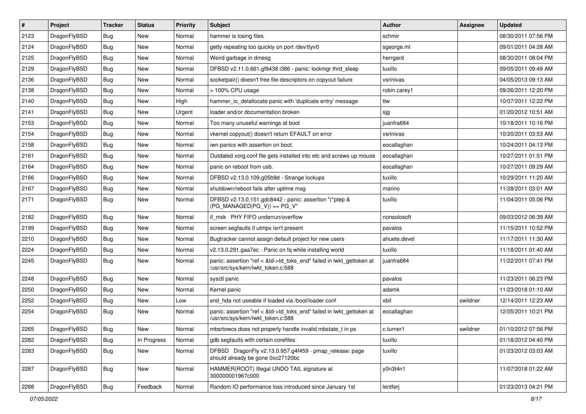| $\vert$ # | Project      | <b>Tracker</b> | <b>Status</b> | <b>Priority</b> | Subject                                                                                                    | <b>Author</b> | <b>Assignee</b> | <b>Updated</b>      |
|-----------|--------------|----------------|---------------|-----------------|------------------------------------------------------------------------------------------------------------|---------------|-----------------|---------------------|
| 2123      | DragonFlyBSD | Bug            | <b>New</b>    | Normal          | hammer is losing files                                                                                     | schmir        |                 | 08/30/2011 07:56 PM |
| 2124      | DragonFlyBSD | Bug            | <b>New</b>    | Normal          | getty repeating too quickly on port /dev/ttyv0                                                             | sgeorge.ml    |                 | 09/01/2011 04:28 AM |
| 2125      | DragonFlyBSD | Bug            | <b>New</b>    | Normal          | Weird garbage in dmesg                                                                                     | herrgard      |                 | 08/30/2011 08:04 PM |
| 2129      | DragonFlyBSD | Bug            | New           | Normal          | DFBSD v2.11.0.661.gf9438 i386 - panic: lockmgr thrd_sleep                                                  | tuxillo       |                 | 09/05/2011 09:49 AM |
| 2136      | DragonFlyBSD | Bug            | <b>New</b>    | Normal          | socketpair() doesn't free file descriptors on copyout failure                                              | vsrinivas     |                 | 04/05/2013 09:13 AM |
| 2138      | DragonFlyBSD | Bug            | New           | Normal          | > 100% CPU usage                                                                                           | robin.carey1  |                 | 09/26/2011 12:20 PM |
| 2140      | DragonFlyBSD | Bug            | <b>New</b>    | High            | hammer_io_delallocate panic with 'duplicate entry' message                                                 | ttw           |                 | 10/07/2011 12:22 PM |
| 2141      | DragonFlyBSD | Bug            | New           | Urgent          | loader and/or documentation broken                                                                         | sjg           |                 | 01/20/2012 10:51 AM |
| 2153      | DragonFlyBSD | Bug            | <b>New</b>    | Normal          | Too many unuseful warnings at boot                                                                         | juanfra684    |                 | 10/18/2011 10:16 PM |
| 2154      | DragonFlyBSD | Bug            | <b>New</b>    | Normal          | vkernel copyout() doesn't return EFAULT on error                                                           | vsrinivas     |                 | 10/20/2011 03:53 AM |
| 2158      | DragonFlyBSD | Bug            | <b>New</b>    | Normal          | iwn panics with assertion on boot.                                                                         | eocallaghan   |                 | 10/24/2011 04:13 PM |
| 2161      | DragonFlyBSD | Bug            | <b>New</b>    | Normal          | Outdated xorg.conf file gets installed into etc and screws up mouse                                        | eocallaghan   |                 | 10/27/2011 01:51 PM |
| 2164      | DragonFlyBSD | Bug            | <b>New</b>    | Normal          | panic on reboot from usb.                                                                                  | eocallaghan   |                 | 10/27/2011 09:29 AM |
| 2166      | DragonFlyBSD | Bug            | <b>New</b>    | Normal          | DFBSD v2.13.0.109.g05b9d - Strange lockups                                                                 | tuxillo       |                 | 10/29/2011 11:20 AM |
| 2167      | DragonFlyBSD | Bug            | <b>New</b>    | Normal          | shutdown/reboot fails after uptime msq                                                                     | marino        |                 | 11/28/2011 03:01 AM |
| 2171      | DragonFlyBSD | Bug            | <b>New</b>    | Normal          | DFBSD v2.13.0.151.gdc8442 - panic: assertion "(*ptep &<br>$(PG_MANAGED PG_V)$ == PG_V"                     | tuxillo       |                 | 11/04/2011 05:06 PM |
| 2182      | DragonFlyBSD | Bug            | <b>New</b>    | Normal          | if msk PHY FIFO underrun/overflow                                                                          | nonsolosoft   |                 | 09/03/2012 06:39 AM |
| 2199      | DragonFlyBSD | Bug            | New           | Normal          | screen segfaults if utmpx isn't present                                                                    | pavalos       |                 | 11/15/2011 10:52 PM |
| 2210      | DragonFlyBSD | Bug            | <b>New</b>    | Normal          | Bugtracker cannot assign default project for new users                                                     | ahuete.devel  |                 | 11/17/2011 11:30 AM |
| 2224      | DragonFlyBSD | Bug            | <b>New</b>    | Normal          | v2.13.0.291.gaa7ec - Panic on fq while installing world                                                    | tuxillo       |                 | 11/18/2011 01:40 AM |
| 2245      | DragonFlyBSD | Bug            | <b>New</b>    | Normal          | panic: assertion "ref < &td->td_toks_end" failed in lwkt_gettoken at<br>/usr/src/sys/kern/lwkt_token.c:588 | juanfra684    |                 | 11/22/2011 07:41 PM |
| 2248      | DragonFlyBSD | Bug            | <b>New</b>    | Normal          | sysctl panic                                                                                               | pavalos       |                 | 11/23/2011 06:23 PM |
| 2250      | DragonFlyBSD | Bug            | New           | Normal          | Kernel panic                                                                                               | adamk         |                 | 11/23/2018 01:10 AM |
| 2252      | DragonFlyBSD | Bug            | <b>New</b>    | Low             | snd hda not useable if loaded via /boot/loader.conf                                                        | xbit          | swildner        | 12/14/2011 12:23 AM |
| 2254      | DragonFlyBSD | Bug            | New           | Normal          | panic: assertion "ref < &td->td_toks_end" failed in lwkt_gettoken at<br>/usr/src/sys/kern/lwkt_token.c:588 | eocallaghan   |                 | 12/05/2011 10:21 PM |
| 2265      | DragonFlyBSD | Bug            | <b>New</b>    | Normal          | mbsrtowcs does not properly handle invalid mbstate_t in ps                                                 | c.turner1     | swildner        | 01/10/2012 07:56 PM |
| 2282      | DragonFlyBSD | Bug            | In Progress   | Normal          | gdb segfaults with certain corefiles                                                                       | tuxillo       |                 | 01/18/2012 04:40 PM |
| 2283      | DragonFlyBSD | <b>Bug</b>     | New           | Normal          | DFBSD DragonFly v2.13.0.957.g4f459 - pmap_release: page<br>should already be gone 0xc27120bc               | tuxillo       |                 | 01/23/2012 03:03 AM |
| 2287      | DragonFlyBSD | Bug            | New           | Normal          | HAMMER(ROOT) Illegal UNDO TAIL signature at<br>300000001967c000                                            | y0n3t4n1      |                 | 11/07/2018 01:22 AM |
| 2288      | DragonFlyBSD | Bug            | Feedback      | Normal          | Random IO performance loss introduced since January 1st                                                    | lentferj      |                 | 01/23/2013 04:21 PM |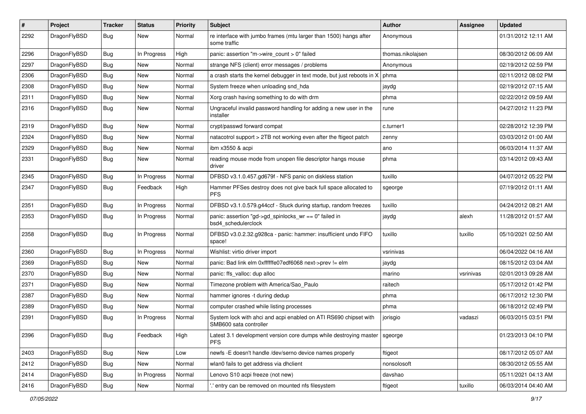| ∦    | Project      | <b>Tracker</b> | <b>Status</b> | <b>Priority</b> | <b>Subject</b>                                                                             | Author            | Assignee  | <b>Updated</b>      |
|------|--------------|----------------|---------------|-----------------|--------------------------------------------------------------------------------------------|-------------------|-----------|---------------------|
| 2292 | DragonFlyBSD | Bug            | New           | Normal          | re interface with jumbo frames (mtu larger than 1500) hangs after<br>some traffic          | Anonymous         |           | 01/31/2012 12:11 AM |
| 2296 | DragonFlyBSD | Bug            | In Progress   | High            | panic: assertion "m->wire count > 0" failed                                                | thomas.nikolajsen |           | 08/30/2012 06:09 AM |
| 2297 | DragonFlyBSD | Bug            | New           | Normal          | strange NFS (client) error messages / problems                                             | Anonymous         |           | 02/19/2012 02:59 PM |
| 2306 | DragonFlyBSD | Bug            | <b>New</b>    | Normal          | a crash starts the kernel debugger in text mode, but just reboots in X                     | phma              |           | 02/11/2012 08:02 PM |
| 2308 | DragonFlyBSD | <b>Bug</b>     | New           | Normal          | System freeze when unloading snd hda                                                       | jaydg             |           | 02/19/2012 07:15 AM |
| 2311 | DragonFlyBSD | Bug            | <b>New</b>    | Normal          | Xorg crash having something to do with drm                                                 | phma              |           | 02/22/2012 09:59 AM |
| 2316 | DragonFlyBSD | Bug            | New           | Normal          | Ungraceful invalid password handling for adding a new user in the<br>installer             | rune              |           | 04/27/2012 11:23 PM |
| 2319 | DragonFlyBSD | Bug            | <b>New</b>    | Normal          | crypt/passwd forward compat                                                                | c.turner1         |           | 02/28/2012 12:39 PM |
| 2324 | DragonFlyBSD | <b>Bug</b>     | New           | Normal          | natacotrol support > 2TB not working even after the ftigeot patch                          | zenny             |           | 03/03/2012 01:00 AM |
| 2329 | DragonFlyBSD | Bug            | New           | Normal          | ibm x3550 & acpi                                                                           | ano               |           | 06/03/2014 11:37 AM |
| 2331 | DragonFlyBSD | Bug            | New           | Normal          | reading mouse mode from unopen file descriptor hangs mouse<br>driver                       | phma              |           | 03/14/2012 09:43 AM |
| 2345 | DragonFlyBSD | Bug            | In Progress   | Normal          | DFBSD v3.1.0.457.gd679f - NFS panic on diskless station                                    | tuxillo           |           | 04/07/2012 05:22 PM |
| 2347 | DragonFlyBSD | Bug            | Feedback      | High            | Hammer PFSes destroy does not give back full space allocated to<br><b>PFS</b>              | sgeorge           |           | 07/19/2012 01:11 AM |
| 2351 | DragonFlyBSD | Bug            | In Progress   | Normal          | DFBSD v3.1.0.579.g44ccf - Stuck during startup, random freezes                             | tuxillo           |           | 04/24/2012 08:21 AM |
| 2353 | DragonFlyBSD | <b>Bug</b>     | In Progress   | Normal          | panic: assertion "gd->gd_spinlocks_wr == 0" failed in<br>bsd4 schedulerclock               | jaydg             | alexh     | 11/28/2012 01:57 AM |
| 2358 | DragonFlyBSD | Bug            | In Progress   | Normal          | DFBSD v3.0.2.32.g928ca - panic: hammer: insufficient undo FIFO<br>space!                   | tuxillo           | tuxillo   | 05/10/2021 02:50 AM |
| 2360 | DragonFlyBSD | Bug            | In Progress   | Normal          | Wishlist: virtio driver import                                                             | vsrinivas         |           | 06/04/2022 04:16 AM |
| 2369 | DragonFlyBSD | Bug            | New           | Normal          | panic: Bad link elm 0xffffffe07edf6068 next->prev != elm                                   | jaydg             |           | 08/15/2012 03:04 AM |
| 2370 | DragonFlyBSD | <b>Bug</b>     | New           | Normal          | panic: ffs valloc: dup alloc                                                               | marino            | vsrinivas | 02/01/2013 09:28 AM |
| 2371 | DragonFlyBSD | <b>Bug</b>     | <b>New</b>    | Normal          | Timezone problem with America/Sao_Paulo                                                    | raitech           |           | 05/17/2012 01:42 PM |
| 2387 | DragonFlyBSD | <b>Bug</b>     | New           | Normal          | hammer ignores -t during dedup                                                             | phma              |           | 06/17/2012 12:30 PM |
| 2389 | DragonFlyBSD | Bug            | New           | Normal          | computer crashed while listing processes                                                   | phma              |           | 06/18/2012 02:49 PM |
| 2391 | DragonFlyBSD | Bug            | In Progress   | Normal          | System lock with ahci and acpi enabled on ATI RS690 chipset with<br>SMB600 sata controller | jorisgio          | vadaszi   | 06/03/2015 03:51 PM |
| 2396 | DragonFlyBSD | Bug            | Feedback      | High            | Latest 3.1 development version core dumps while destroying master   sgeorge<br><b>PFS</b>  |                   |           | 01/23/2013 04:10 PM |
| 2403 | DragonFlyBSD | <b>Bug</b>     | New           | Low             | newfs -E doesn't handle /dev/serno device names properly                                   | ftigeot           |           | 08/17/2012 05:07 AM |
| 2412 | DragonFlyBSD | Bug            | New           | Normal          | wlan0 fails to get address via dhclient                                                    | nonsolosoft       |           | 08/30/2012 05:55 AM |
| 2414 | DragonFlyBSD | <b>Bug</b>     | In Progress   | Normal          | Lenovo S10 acpi freeze (not new)                                                           | davshao           |           | 05/11/2021 04:13 AM |
| 2416 | DragonFlyBSD | Bug            | New           | Normal          | ' entry can be removed on mounted nfs filesystem                                           | ftigeot           | tuxillo   | 06/03/2014 04:40 AM |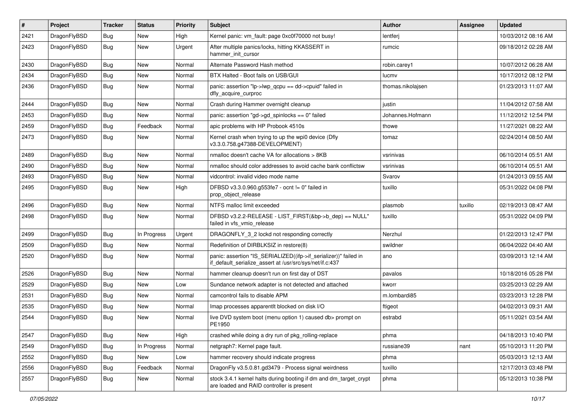| #    | Project      | <b>Tracker</b> | <b>Status</b> | <b>Priority</b> | Subject                                                                                                                      | <b>Author</b>     | Assignee | Updated             |
|------|--------------|----------------|---------------|-----------------|------------------------------------------------------------------------------------------------------------------------------|-------------------|----------|---------------------|
| 2421 | DragonFlyBSD | <b>Bug</b>     | <b>New</b>    | High            | Kernel panic: vm_fault: page 0xc0f70000 not busy!                                                                            | lentferj          |          | 10/03/2012 08:16 AM |
| 2423 | DragonFlyBSD | <b>Bug</b>     | New           | Urgent          | After multiple panics/locks, hitting KKASSERT in<br>hammer init cursor                                                       | rumcic            |          | 09/18/2012 02:28 AM |
| 2430 | DragonFlyBSD | Bug            | <b>New</b>    | Normal          | Alternate Password Hash method                                                                                               | robin.carey1      |          | 10/07/2012 06:28 AM |
| 2434 | DragonFlyBSD | Bug            | <b>New</b>    | Normal          | BTX Halted - Boot fails on USB/GUI                                                                                           | lucmv             |          | 10/17/2012 08:12 PM |
| 2436 | DragonFlyBSD | Bug            | <b>New</b>    | Normal          | panic: assertion "lp->lwp_qcpu == dd->cpuid" failed in<br>dfly_acquire_curproc                                               | thomas.nikolajsen |          | 01/23/2013 11:07 AM |
| 2444 | DragonFlyBSD | Bug            | <b>New</b>    | Normal          | Crash during Hammer overnight cleanup                                                                                        | justin            |          | 11/04/2012 07:58 AM |
| 2453 | DragonFlyBSD | <b>Bug</b>     | New           | Normal          | panic: assertion "gd->gd_spinlocks == $0$ " failed                                                                           | Johannes.Hofmann  |          | 11/12/2012 12:54 PM |
| 2459 | DragonFlyBSD | <b>Bug</b>     | Feedback      | Normal          | apic problems with HP Probook 4510s                                                                                          | thowe             |          | 11/27/2021 08:22 AM |
| 2473 | DragonFlyBSD | <b>Bug</b>     | <b>New</b>    | Normal          | Kernel crash when trying to up the wpi0 device (Dfly<br>v3.3.0.758.g47388-DEVELOPMENT)                                       | tomaz             |          | 02/24/2014 08:50 AM |
| 2489 | DragonFlyBSD | Bug            | <b>New</b>    | Normal          | nmalloc doesn't cache VA for allocations > 8KB                                                                               | vsrinivas         |          | 06/10/2014 05:51 AM |
| 2490 | DragonFlyBSD | <b>Bug</b>     | New           | Normal          | nmalloc should color addresses to avoid cache bank conflictsw                                                                | vsrinivas         |          | 06/10/2014 05:51 AM |
| 2493 | DragonFlyBSD | Bug            | <b>New</b>    | Normal          | vidcontrol: invalid video mode name                                                                                          | Svarov            |          | 01/24/2013 09:55 AM |
| 2495 | DragonFlyBSD | <b>Bug</b>     | <b>New</b>    | High            | DFBSD v3.3.0.960.g553fe7 - ocnt != 0" failed in<br>prop_object_release                                                       | tuxillo           |          | 05/31/2022 04:08 PM |
| 2496 | DragonFlyBSD | Bug            | <b>New</b>    | Normal          | NTFS malloc limit exceeded                                                                                                   | plasmob           | tuxillo  | 02/19/2013 08:47 AM |
| 2498 | DragonFlyBSD | <b>Bug</b>     | <b>New</b>    | Normal          | DFBSD v3.2.2-RELEASE - LIST_FIRST(&bp->b_dep) == NULL"<br>failed in vfs_vmio_release                                         | tuxillo           |          | 05/31/2022 04:09 PM |
| 2499 | DragonFlyBSD | Bug            | In Progress   | Urgent          | DRAGONFLY_3_2 lockd not responding correctly                                                                                 | Nerzhul           |          | 01/22/2013 12:47 PM |
| 2509 | DragonFlyBSD | <b>Bug</b>     | <b>New</b>    | Normal          | Redefinition of DIRBLKSIZ in restore(8)                                                                                      | swildner          |          | 06/04/2022 04:40 AM |
| 2520 | DragonFlyBSD | Bug            | New           | Normal          | panic: assertion "IS_SERIALIZED((ifp->if_serializer))" failed in<br>if_default_serialize_assert at /usr/src/sys/net/if.c:437 | ano               |          | 03/09/2013 12:14 AM |
| 2526 | DragonFlyBSD | Bug            | <b>New</b>    | Normal          | hammer cleanup doesn't run on first day of DST                                                                               | pavalos           |          | 10/18/2016 05:28 PM |
| 2529 | DragonFlyBSD | Bug            | <b>New</b>    | Low             | Sundance network adapter is not detected and attached                                                                        | kworr             |          | 03/25/2013 02:29 AM |
| 2531 | DragonFlyBSD | <b>Bug</b>     | New           | Normal          | camcontrol fails to disable APM                                                                                              | m.lombardi85      |          | 03/23/2013 12:28 PM |
| 2535 | DragonFlyBSD | <b>Bug</b>     | <b>New</b>    | Normal          | Imap processes apparentlt blocked on disk I/O                                                                                | ftigeot           |          | 04/02/2013 09:31 AM |
| 2544 | DragonFlyBSD | Bug            | New           | Normal          | live DVD system boot (menu option 1) caused db> prompt on<br>PE1950                                                          | estrabd           |          | 05/11/2021 03:54 AM |
| 2547 | DragonFlyBSD | <b>Bug</b>     | New           | High            | crashed while doing a dry run of pkg rolling-replace                                                                         | phma              |          | 04/18/2013 10:40 PM |
| 2549 | DragonFlyBSD | Bug            | In Progress   | Normal          | netgraph7: Kernel page fault.                                                                                                | russiane39        | nant     | 05/10/2013 11:20 PM |
| 2552 | DragonFlyBSD | <b>Bug</b>     | New           | Low             | hammer recovery should indicate progress                                                                                     | phma              |          | 05/03/2013 12:13 AM |
| 2556 | DragonFlyBSD | Bug            | Feedback      | Normal          | DragonFly v3.5.0.81.gd3479 - Process signal weirdness                                                                        | tuxillo           |          | 12/17/2013 03:48 PM |
| 2557 | DragonFlyBSD | Bug            | New           | Normal          | stock 3.4.1 kernel halts during booting if dm and dm target crypt<br>are loaded and RAID controller is present               | phma              |          | 05/12/2013 10:38 PM |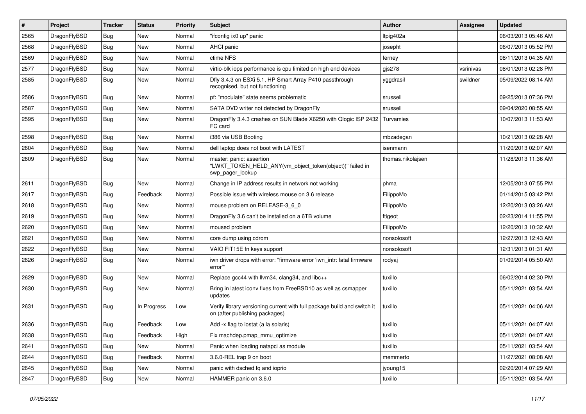| $\vert$ # | Project      | <b>Tracker</b> | <b>Status</b> | <b>Priority</b> | <b>Subject</b>                                                                                            | <b>Author</b>     | Assignee  | <b>Updated</b>      |
|-----------|--------------|----------------|---------------|-----------------|-----------------------------------------------------------------------------------------------------------|-------------------|-----------|---------------------|
| 2565      | DragonFlyBSD | Bug            | <b>New</b>    | Normal          | "ifconfig ix0 up" panic                                                                                   | Itpig402a         |           | 06/03/2013 05:46 AM |
| 2568      | DragonFlyBSD | <b>Bug</b>     | <b>New</b>    | Normal          | AHCI panic                                                                                                | josepht           |           | 06/07/2013 05:52 PM |
| 2569      | DragonFlyBSD | <b>Bug</b>     | <b>New</b>    | Normal          | ctime NFS                                                                                                 | ferney            |           | 08/11/2013 04:35 AM |
| 2577      | DragonFlyBSD | Bug            | <b>New</b>    | Normal          | virtio-blk iops performance is cpu limited on high end devices                                            | gjs278            | vsrinivas | 08/01/2013 02:28 PM |
| 2585      | DragonFlyBSD | Bug            | <b>New</b>    | Normal          | Dfly 3.4.3 on ESXi 5.1, HP Smart Array P410 passthrough<br>recognised, but not functioning                | yggdrasil         | swildner  | 05/09/2022 08:14 AM |
| 2586      | DragonFlyBSD | Bug            | <b>New</b>    | Normal          | pf: "modulate" state seems problematic                                                                    | srussell          |           | 09/25/2013 07:36 PM |
| 2587      | DragonFlyBSD | <b>Bug</b>     | <b>New</b>    | Normal          | SATA DVD writer not detected by DragonFly                                                                 | srussell          |           | 09/04/2020 08:55 AM |
| 2595      | DragonFlyBSD | <b>Bug</b>     | <b>New</b>    | Normal          | DragonFly 3.4.3 crashes on SUN Blade X6250 with Qlogic ISP 2432<br>FC card                                | Turvamies         |           | 10/07/2013 11:53 AM |
| 2598      | DragonFlyBSD | <b>Bug</b>     | <b>New</b>    | Normal          | i386 via USB Booting                                                                                      | mbzadegan         |           | 10/21/2013 02:28 AM |
| 2604      | DragonFlyBSD | Bug            | <b>New</b>    | Normal          | dell laptop does not boot with LATEST                                                                     | isenmann          |           | 11/20/2013 02:07 AM |
| 2609      | DragonFlyBSD | Bug            | <b>New</b>    | Normal          | master: panic: assertion<br>"LWKT_TOKEN_HELD_ANY(vm_object_token(object))" failed in<br>swp_pager_lookup  | thomas.nikolajsen |           | 11/28/2013 11:36 AM |
| 2611      | DragonFlyBSD | <b>Bug</b>     | New           | Normal          | Change in IP address results in network not working                                                       | phma              |           | 12/05/2013 07:55 PM |
| 2617      | DragonFlyBSD | <b>Bug</b>     | Feedback      | Normal          | Possible issue with wireless mouse on 3.6 release                                                         | FilippoMo         |           | 01/14/2015 03:42 PM |
| 2618      | DragonFlyBSD | <b>Bug</b>     | <b>New</b>    | Normal          | mouse problem on RELEASE-3_6_0                                                                            | FilippoMo         |           | 12/20/2013 03:26 AM |
| 2619      | DragonFlyBSD | <b>Bug</b>     | <b>New</b>    | Normal          | DragonFly 3.6 can't be installed on a 6TB volume                                                          | ftigeot           |           | 02/23/2014 11:55 PM |
| 2620      | DragonFlyBSD | Bug            | <b>New</b>    | Normal          | moused problem                                                                                            | FilippoMo         |           | 12/20/2013 10:32 AM |
| 2621      | DragonFlyBSD | <b>Bug</b>     | <b>New</b>    | Normal          | core dump using cdrom                                                                                     | nonsolosoft       |           | 12/27/2013 12:43 AM |
| 2622      | DragonFlyBSD | Bug            | <b>New</b>    | Normal          | VAIO FIT15E fn keys support                                                                               | nonsolosoft       |           | 12/31/2013 01:31 AM |
| 2626      | DragonFlyBSD | Bug            | <b>New</b>    | Normal          | iwn driver drops with error: "firmware error 'iwn_intr: fatal firmware<br>error"                          | rodyaj            |           | 01/09/2014 05:50 AM |
| 2629      | DragonFlyBSD | Bug            | <b>New</b>    | Normal          | Replace gcc44 with llvm34, clang34, and libc++                                                            | tuxillo           |           | 06/02/2014 02:30 PM |
| 2630      | DragonFlyBSD | Bug            | <b>New</b>    | Normal          | Bring in latest iconv fixes from FreeBSD10 as well as csmapper<br>updates                                 | tuxillo           |           | 05/11/2021 03:54 AM |
| 2631      | DragonFlyBSD | Bug            | In Progress   | Low             | Verify library versioning current with full package build and switch it<br>on (after publishing packages) | tuxillo           |           | 05/11/2021 04:06 AM |
| 2636      | DragonFlyBSD | Bug            | Feedback      | Low             | Add -x flag to iostat (a la solaris)                                                                      | tuxillo           |           | 05/11/2021 04:07 AM |
| 2638      | DragonFlyBSD | <b>Bug</b>     | Feedback      | High            | Fix machdep.pmap_mmu_optimize                                                                             | tuxillo           |           | 05/11/2021 04:07 AM |
| 2641      | DragonFlyBSD | <b>Bug</b>     | New           | Normal          | Panic when loading natapci as module                                                                      | tuxillo           |           | 05/11/2021 03:54 AM |
| 2644      | DragonFlyBSD | <b>Bug</b>     | Feedback      | Normal          | 3.6.0-REL trap 9 on boot                                                                                  | memmerto          |           | 11/27/2021 08:08 AM |
| 2645      | DragonFlyBSD | <b>Bug</b>     | New           | Normal          | panic with dsched fq and ioprio                                                                           | jyoung15          |           | 02/20/2014 07:29 AM |
| 2647      | DragonFlyBSD | <b>Bug</b>     | New           | Normal          | HAMMER panic on 3.6.0                                                                                     | tuxillo           |           | 05/11/2021 03:54 AM |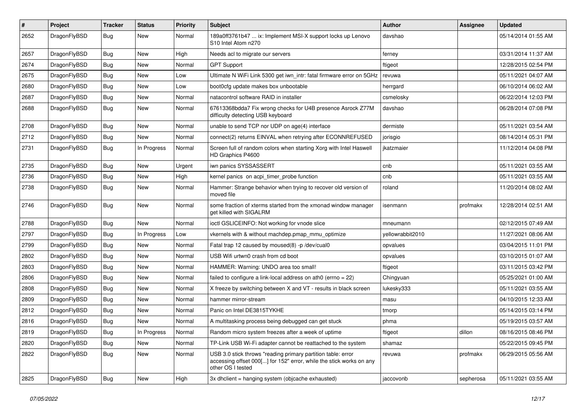| $\#$ | Project      | <b>Tracker</b> | <b>Status</b> | <b>Priority</b> | Subject                                                                                                                                                  | <b>Author</b>    | <b>Assignee</b> | <b>Updated</b>      |
|------|--------------|----------------|---------------|-----------------|----------------------------------------------------------------------------------------------------------------------------------------------------------|------------------|-----------------|---------------------|
| 2652 | DragonFlyBSD | Bug            | <b>New</b>    | Normal          | 189a0ff3761b47  ix: Implement MSI-X support locks up Lenovo<br>S10 Intel Atom n270                                                                       | davshao          |                 | 05/14/2014 01:55 AM |
| 2657 | DragonFlyBSD | <b>Bug</b>     | New           | High            | Needs acl to migrate our servers                                                                                                                         | ferney           |                 | 03/31/2014 11:37 AM |
| 2674 | DragonFlyBSD | <b>Bug</b>     | <b>New</b>    | Normal          | <b>GPT Support</b>                                                                                                                                       | ftigeot          |                 | 12/28/2015 02:54 PM |
| 2675 | DragonFlyBSD | <b>Bug</b>     | New           | Low             | Ultimate N WiFi Link 5300 get iwn_intr: fatal firmware error on 5GHz                                                                                     | revuwa           |                 | 05/11/2021 04:07 AM |
| 2680 | DragonFlyBSD | <b>Bug</b>     | New           | Low             | boot0cfg update makes box unbootable                                                                                                                     | herrgard         |                 | 06/10/2014 06:02 AM |
| 2687 | DragonFlyBSD | Bug            | New           | Normal          | natacontrol software RAID in installer                                                                                                                   | csmelosky        |                 | 06/22/2014 12:03 PM |
| 2688 | DragonFlyBSD | Bug            | <b>New</b>    | Normal          | 67613368bdda7 Fix wrong checks for U4B presence Asrock Z77M<br>difficulty detecting USB keyboard                                                         | davshao          |                 | 06/28/2014 07:08 PM |
| 2708 | DragonFlyBSD | Bug            | <b>New</b>    | Normal          | unable to send TCP nor UDP on age(4) interface                                                                                                           | dermiste         |                 | 05/11/2021 03:54 AM |
| 2712 | DragonFlyBSD | Bug            | New           | Normal          | connect(2) returns EINVAL when retrying after ECONNREFUSED                                                                                               | jorisgio         |                 | 08/14/2014 05:31 PM |
| 2731 | DragonFlyBSD | Bug            | In Progress   | Normal          | Screen full of random colors when starting Xorg with Intel Haswell<br>HD Graphics P4600                                                                  | jkatzmaier       |                 | 11/12/2014 04:08 PM |
| 2735 | DragonFlyBSD | Bug            | <b>New</b>    | Urgent          | iwn panics SYSSASSERT                                                                                                                                    | cnb              |                 | 05/11/2021 03:55 AM |
| 2736 | DragonFlyBSD | Bug            | New           | High            | kernel panics on acpi_timer_probe function                                                                                                               | cnb              |                 | 05/11/2021 03:55 AM |
| 2738 | DragonFlyBSD | Bug            | <b>New</b>    | Normal          | Hammer: Strange behavior when trying to recover old version of<br>moved file                                                                             | roland           |                 | 11/20/2014 08:02 AM |
| 2746 | DragonFlyBSD | <b>Bug</b>     | New           | Normal          | some fraction of xterms started from the xmonad window manager<br>get killed with SIGALRM                                                                | isenmann         | profmakx        | 12/28/2014 02:51 AM |
| 2788 | DragonFlyBSD | Bug            | New           | Normal          | ioctl GSLICEINFO: Not working for vnode slice                                                                                                            | mneumann         |                 | 02/12/2015 07:49 AM |
| 2797 | DragonFlyBSD | Bug            | In Progress   | Low             | vkernels with & without machdep.pmap_mmu_optimize                                                                                                        | yellowrabbit2010 |                 | 11/27/2021 08:06 AM |
| 2799 | DragonFlyBSD | Bug            | New           | Normal          | Fatal trap 12 caused by moused(8) -p /dev/cual0                                                                                                          | opvalues         |                 | 03/04/2015 11:01 PM |
| 2802 | DragonFlyBSD | Bug            | New           | Normal          | USB Wifi urtwn0 crash from cd boot                                                                                                                       | opvalues         |                 | 03/10/2015 01:07 AM |
| 2803 | DragonFlyBSD | Bug            | New           | Normal          | HAMMER: Warning: UNDO area too small!                                                                                                                    | ftigeot          |                 | 03/11/2015 03:42 PM |
| 2806 | DragonFlyBSD | Bug            | New           | Normal          | failed to configure a link-local address on ath0 (errno = 22)                                                                                            | Chingyuan        |                 | 05/25/2021 01:00 AM |
| 2808 | DragonFlyBSD | Bug            | <b>New</b>    | Normal          | X freeze by switching between X and VT - results in black screen                                                                                         | lukesky333       |                 | 05/11/2021 03:55 AM |
| 2809 | DragonFlyBSD | Bug            | New           | Normal          | hammer mirror-stream                                                                                                                                     | masu             |                 | 04/10/2015 12:33 AM |
| 2812 | DragonFlyBSD | Bug            | <b>New</b>    | Normal          | Panic on Intel DE3815TYKHE                                                                                                                               | tmorp            |                 | 05/14/2015 03:14 PM |
| 2816 | DragonFlyBSD | <b>Bug</b>     | <b>New</b>    | Normal          | A multitasking process being debugged can get stuck                                                                                                      | phma             |                 | 05/19/2015 03:57 AM |
| 2819 | DragonFlyBSD | <b>Bug</b>     | In Progress   | Normal          | Random micro system freezes after a week of uptime                                                                                                       | ftigeot          | dillon          | 08/16/2015 08:46 PM |
| 2820 | DragonFlyBSD | <b>Bug</b>     | <b>New</b>    | Normal          | TP-Link USB Wi-Fi adapter cannot be reattached to the system                                                                                             | shamaz           |                 | 05/22/2015 09:45 PM |
| 2822 | DragonFlyBSD | <b>Bug</b>     | New           | Normal          | USB 3.0 stick throws "reading primary partition table: error<br>accessing offset 000[] for 152" error, while the stick works on any<br>other OS I tested | revuwa           | profmakx        | 06/29/2015 05:56 AM |
| 2825 | DragonFlyBSD | <b>Bug</b>     | New           | High            | 3x dhclient = hanging system (objcache exhausted)                                                                                                        | jaccovonb        | sepherosa       | 05/11/2021 03:55 AM |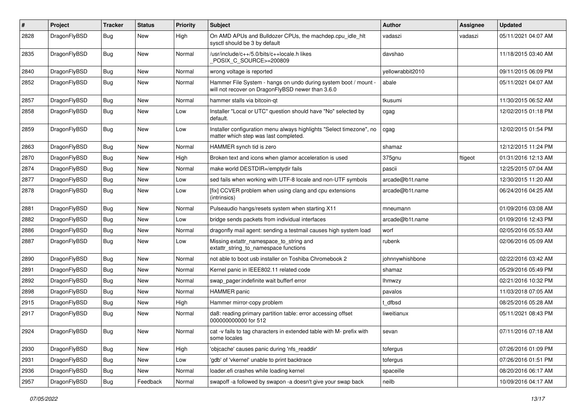| #    | Project      | <b>Tracker</b> | <b>Status</b> | <b>Priority</b> | Subject                                                                                                              | Author           | <b>Assignee</b> | <b>Updated</b>      |
|------|--------------|----------------|---------------|-----------------|----------------------------------------------------------------------------------------------------------------------|------------------|-----------------|---------------------|
| 2828 | DragonFlyBSD | Bug            | New           | High            | On AMD APUs and Bulldozer CPUs, the machdep.cpu_idle_hlt<br>sysctl should be 3 by default                            | vadaszi          | vadaszi         | 05/11/2021 04:07 AM |
| 2835 | DragonFlyBSD | Bug            | <b>New</b>    | Normal          | /usr/include/c++/5.0/bits/c++locale.h likes<br>POSIX C_SOURCE>=200809                                                | davshao          |                 | 11/18/2015 03:40 AM |
| 2840 | DragonFlyBSD | <b>Bug</b>     | <b>New</b>    | Normal          | wrong voltage is reported                                                                                            | yellowrabbit2010 |                 | 09/11/2015 06:09 PM |
| 2852 | DragonFlyBSD | Bug            | New           | Normal          | Hammer File System - hangs on undo during system boot / mount -<br>will not recover on DragonFlyBSD newer than 3.6.0 | abale            |                 | 05/11/2021 04:07 AM |
| 2857 | DragonFlyBSD | <b>Bug</b>     | <b>New</b>    | Normal          | hammer stalls via bitcoin-qt                                                                                         | tkusumi          |                 | 11/30/2015 06:52 AM |
| 2858 | DragonFlyBSD | Bug            | New           | Low             | Installer "Local or UTC" question should have "No" selected by<br>default.                                           | cgag             |                 | 12/02/2015 01:18 PM |
| 2859 | DragonFlyBSD | Bug            | <b>New</b>    | Low             | Installer configuration menu always highlights "Select timezone", no<br>matter which step was last completed.        | cgag             |                 | 12/02/2015 01:54 PM |
| 2863 | DragonFlyBSD | Bug            | <b>New</b>    | Normal          | HAMMER synch tid is zero                                                                                             | shamaz           |                 | 12/12/2015 11:24 PM |
| 2870 | DragonFlyBSD | <b>Bug</b>     | New           | High            | Broken text and icons when glamor acceleration is used                                                               | 375gnu           | ftigeot         | 01/31/2016 12:13 AM |
| 2874 | DragonFlyBSD | Bug            | <b>New</b>    | Normal          | make world DESTDIR=/emptydir fails                                                                                   | pascii           |                 | 12/25/2015 07:04 AM |
| 2877 | DragonFlyBSD | <b>Bug</b>     | New           | Low             | sed fails when working with UTF-8 locale and non-UTF symbols                                                         | arcade@b1t.name  |                 | 12/30/2015 11:20 AM |
| 2878 | DragonFlyBSD | Bug            | New           | Low             | [fix] CCVER problem when using clang and cpu extensions<br>(intrinsics)                                              | arcade@b1t.name  |                 | 06/24/2016 04:25 AM |
| 2881 | DragonFlyBSD | <b>Bug</b>     | <b>New</b>    | Normal          | Pulseaudio hangs/resets system when starting X11                                                                     | mneumann         |                 | 01/09/2016 03:08 AM |
| 2882 | DragonFlyBSD | Bug            | New           | Low             | bridge sends packets from individual interfaces                                                                      | arcade@b1t.name  |                 | 01/09/2016 12:43 PM |
| 2886 | DragonFlyBSD | <b>Bug</b>     | <b>New</b>    | Normal          | dragonfly mail agent: sending a testmail causes high system load                                                     | worf             |                 | 02/05/2016 05:53 AM |
| 2887 | DragonFlyBSD | Bug            | New           | Low             | Missing extattr_namespace_to_string and<br>extattr_string_to_namespace functions                                     | rubenk           |                 | 02/06/2016 05:09 AM |
| 2890 | DragonFlyBSD | <b>Bug</b>     | <b>New</b>    | Normal          | not able to boot usb installer on Toshiba Chromebook 2                                                               | johnnywhishbone  |                 | 02/22/2016 03:42 AM |
| 2891 | DragonFlyBSD | Bug            | <b>New</b>    | Normal          | Kernel panic in IEEE802.11 related code                                                                              | shamaz           |                 | 05/29/2016 05:49 PM |
| 2892 | DragonFlyBSD | Bug            | <b>New</b>    | Normal          | swap_pager:indefinite wait bufferf error                                                                             | lhmwzy           |                 | 02/21/2016 10:32 PM |
| 2898 | DragonFlyBSD | <b>Bug</b>     | New           | Normal          | <b>HAMMER</b> panic                                                                                                  | pavalos          |                 | 11/03/2018 07:05 AM |
| 2915 | DragonFlyBSD | Bug            | New           | High            | Hammer mirror-copy problem                                                                                           | t dfbsd          |                 | 08/25/2016 05:28 AM |
| 2917 | DragonFlyBSD | Bug            | <b>New</b>    | Normal          | da8: reading primary partition table: error accessing offset<br>000000000000 for 512                                 | liweitianux      |                 | 05/11/2021 08:43 PM |
| 2924 | DragonFlyBSD | <b>Bug</b>     | New           | Normal          | cat -v fails to tag characters in extended table with M- prefix with<br>some locales                                 | sevan            |                 | 07/11/2016 07:18 AM |
| 2930 | DragonFlyBSD | <b>Bug</b>     | New           | High            | 'objcache' causes panic during 'nfs readdir'                                                                         | tofergus         |                 | 07/26/2016 01:09 PM |
| 2931 | DragonFlyBSD | Bug            | New           | Low             | 'gdb' of 'vkernel' unable to print backtrace                                                                         | tofergus         |                 | 07/26/2016 01:51 PM |
| 2936 | DragonFlyBSD | <b>Bug</b>     | New           | Normal          | loader.efi crashes while loading kernel                                                                              | spaceille        |                 | 08/20/2016 06:17 AM |
| 2957 | DragonFlyBSD | <b>Bug</b>     | Feedback      | Normal          | swapoff -a followed by swapon -a doesn't give your swap back                                                         | neilb            |                 | 10/09/2016 04:17 AM |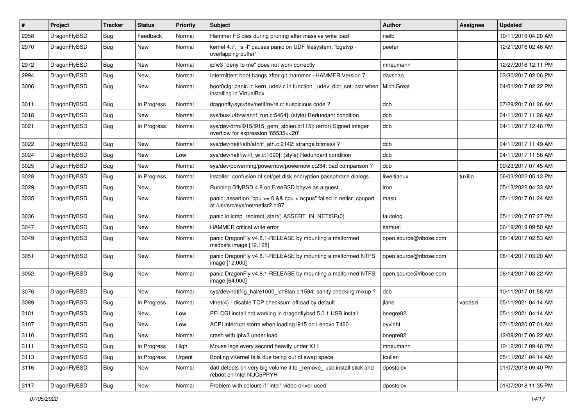| #    | Project      | <b>Tracker</b> | <b>Status</b> | <b>Priority</b> | Subject                                                                                                 | <b>Author</b>          | <b>Assignee</b> | <b>Updated</b>      |
|------|--------------|----------------|---------------|-----------------|---------------------------------------------------------------------------------------------------------|------------------------|-----------------|---------------------|
| 2958 | DragonFlyBSD | Bug            | Feedback      | Normal          | Hammer FS dies during pruning after massive write load                                                  | neilb                  |                 | 10/11/2016 04:20 AM |
| 2970 | DragonFlyBSD | Bug            | New           | Normal          | kernel 4.7: "Is -l" causes panic on UDF filesystem: "bgetvp -<br>overlapping buffer"                    | peeter                 |                 | 12/21/2016 02:46 AM |
| 2972 | DragonFlyBSD | Bug            | New           | Normal          | ipfw3 "deny to me" does not work correctly                                                              | mneumann               |                 | 12/27/2016 12:11 PM |
| 2994 | DragonFlyBSD | Bug            | New           | Normal          | Intermittent boot hangs after git: hammer - HAMMER Version 7                                            | davshao                |                 | 03/30/2017 02:06 PM |
| 3006 | DragonFlyBSD | Bug            | New           | Normal          | boot0cfg: panic in kern udev.c in function udev dict set cstr when<br>installing in VirtualBox          | MichiGreat             |                 | 04/01/2017 02:22 PM |
| 3011 | DragonFlyBSD | Bug            | In Progress   | Normal          | dragonfly/sys/dev/netif/re/re.c: suspicious code?                                                       | dcb                    |                 | 07/29/2017 01:26 AM |
| 3018 | DragonFlyBSD | Bug            | <b>New</b>    | Normal          | sys/bus/u4b/wlan/if_run.c:5464]: (style) Redundant condition                                            | dcb                    |                 | 04/11/2017 11:26 AM |
| 3021 | DragonFlyBSD | Bug            | In Progress   | Normal          | sys/dev/drm/i915/i915_gem_stolen.c:115]: (error) Signed integer<br>overflow for expression '65535<<20'  | dcb                    |                 | 04/11/2017 12:46 PM |
| 3022 | DragonFlyBSD | Bug            | <b>New</b>    | Normal          | sys/dev/netif/ath/ath/if ath.c:2142: strange bitmask?                                                   | dcb                    |                 | 04/11/2017 11:49 AM |
| 3024 | DragonFlyBSD | Bug            | <b>New</b>    | Low             | sys/dev/netif/wi/if_wi.c:1090]: (style) Redundant condition                                             | dcb                    |                 | 04/11/2017 11:56 AM |
| 3025 | DragonFlyBSD | Bug            | New           | Normal          | sys/dev/powermng/powernow/powernow.c:284: bad comparison?                                               | dcb                    |                 | 09/23/2017 07:45 AM |
| 3028 | DragonFlyBSD | Bug            | In Progress   | Normal          | installer: confusion of set/get disk encryption passphrase dialogs                                      | liweitianux            | tuxillo         | 06/03/2022 05:13 PM |
| 3029 | DragonFlyBSD | Bug            | New           | Normal          | Running DflyBSD 4.8 on FreeBSD bhyve as a guest                                                         | iron                   |                 | 05/13/2022 04:33 AM |
| 3035 | DragonFlyBSD | Bug            | New           | Normal          | panic: assertion "cpu >= 0 && cpu < ncpus" failed in netisr_cpuport<br>at /usr/src/sys/net/netisr2.h:87 | masu                   |                 | 05/11/2017 01:24 AM |
| 3036 | DragonFlyBSD | Bug            | New           | Normal          | panic in icmp_redirect_start() ASSERT_IN_NETISR(0)                                                      | tautolog               |                 | 05/11/2017 07:27 PM |
| 3047 | DragonFlyBSD | Bug            | New           | Normal          | HAMMER critical write error                                                                             | samuel                 |                 | 06/19/2019 09:50 AM |
| 3049 | DragonFlyBSD | Bug            | New           | Normal          | panic DragonFly v4.8.1-RELEASE by mounting a malformed<br>msdosfs image [12.128]                        | open.source@ribose.com |                 | 08/14/2017 02:53 AM |
| 3051 | DragonFlyBSD | Bug            | New           | Normal          | panic DragonFly v4.8.1-RELEASE by mounting a malformed NTFS<br>image [12.000]                           | open.source@ribose.com |                 | 08/14/2017 03:20 AM |
| 3052 | DragonFlyBSD | Bug            | New           | Normal          | panic DragonFly v4.8.1-RELEASE by mounting a malformed NTFS<br>image [64.000]                           | open.source@ribose.com |                 | 08/14/2017 03:22 AM |
| 3076 | DragonFlyBSD | Bug            | New           | Normal          | sys/dev/netif/ig_hal/e1000_ich8lan.c:1594: sanity checking mixup?                                       | dcb                    |                 | 10/11/2017 01:58 AM |
| 3089 | DragonFlyBSD | Bug            | In Progress   | Normal          | vtnet(4) - disable TCP checksum offload by default                                                      | ilane                  | vadaszi         | 05/11/2021 04:14 AM |
| 3101 | DragonFlyBSD | Bug            | <b>New</b>    | Low             | PFI CGI install not working in dragonflybsd 5.0.1 USB install                                           | bnegre82               |                 | 05/11/2021 04:14 AM |
| 3107 | DragonFlyBSD | <b>Bug</b>     | New           | Low             | ACPI interrupt storm when loading i915 on Lenovo T460                                                   | oyvinht                |                 | 07/15/2020 07:01 AM |
| 3110 | DragonFlyBSD | <b>Bug</b>     | New           | Normal          | crash with ipfw3 under load                                                                             | bnegre82               |                 | 12/09/2017 06:22 AM |
| 3111 | DragonFlyBSD | <b>Bug</b>     | In Progress   | High            | Mouse lags every second heavily under X11                                                               | mneumann               |                 | 12/12/2017 09:46 PM |
| 3113 | DragonFlyBSD | Bug            | In Progress   | Urgent          | Booting vKernel fails due being out of swap space                                                       | tcullen                |                 | 05/11/2021 04:14 AM |
| 3116 | DragonFlyBSD | Bug            | New           | Normal          | da0 detects on very big volume if to _remove_ usb install stick and<br>reboot on Intel NUC5PPYH         | dpostolov              |                 | 01/07/2018 09:40 PM |
| 3117 | DragonFlyBSD | <b>Bug</b>     | New           | Normal          | Problem with colours if "intel" video-driver used                                                       | dpostolov              |                 | 01/07/2018 11:35 PM |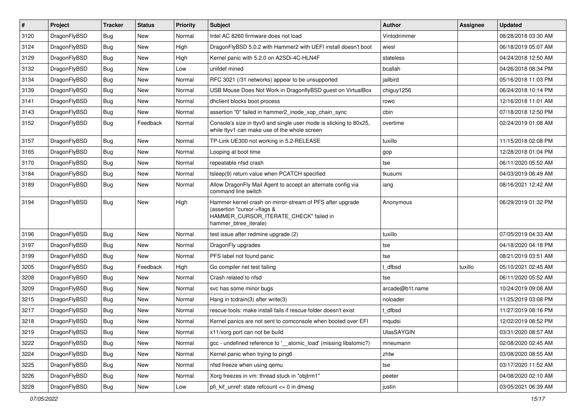| $\pmb{\#}$ | Project      | <b>Tracker</b> | <b>Status</b> | <b>Priority</b> | Subject                                                                                                                                                     | <b>Author</b>   | Assignee | <b>Updated</b>      |
|------------|--------------|----------------|---------------|-----------------|-------------------------------------------------------------------------------------------------------------------------------------------------------------|-----------------|----------|---------------------|
| 3120       | DragonFlyBSD | Bug            | <b>New</b>    | Normal          | Intel AC 8260 firmware does not load                                                                                                                        | Vintodrimmer    |          | 08/28/2018 03:30 AM |
| 3124       | DragonFlyBSD | Bug            | <b>New</b>    | High            | DragonFlyBSD 5.0.2 with Hammer2 with UEFI install doesn't boot                                                                                              | wiesl           |          | 06/18/2019 05:07 AM |
| 3129       | DragonFlyBSD | Bug            | New           | High            | Kernel panic with 5.2.0 on A2SDi-4C-HLN4F                                                                                                                   | stateless       |          | 04/24/2018 12:50 AM |
| 3132       | DragonFlyBSD | Bug            | <b>New</b>    | Low             | unifdef mined                                                                                                                                               | bcallah         |          | 04/26/2018 08:34 PM |
| 3134       | DragonFlyBSD | Bug            | <b>New</b>    | Normal          | RFC 3021 (/31 networks) appear to be unsupported                                                                                                            | jailbird        |          | 05/16/2018 11:03 PM |
| 3139       | DragonFlyBSD | Bug            | New           | Normal          | USB Mouse Does Not Work in DragonflyBSD guest on VirtualBox                                                                                                 | chiguy1256      |          | 06/24/2018 10:14 PM |
| 3141       | DragonFlyBSD | Bug            | <b>New</b>    | Normal          | dhclient blocks boot process                                                                                                                                | rowo            |          | 12/16/2018 11:01 AM |
| 3143       | DragonFlyBSD | Bug            | New           | Normal          | assertion "0" failed in hammer2_inode_xop_chain_sync                                                                                                        | cbin            |          | 07/18/2018 12:50 PM |
| 3152       | DragonFlyBSD | Bug            | Feedback      | Normal          | Console's size in ttyv0 and single user mode is sticking to 80x25,<br>while ttyv1 can make use of the whole screen                                          | overtime        |          | 02/24/2019 01:08 AM |
| 3157       | DragonFlyBSD | <b>Bug</b>     | <b>New</b>    | Normal          | TP-Link UE300 not working in 5.2-RELEASE                                                                                                                    | tuxillo         |          | 11/15/2018 02:08 PM |
| 3165       | DragonFlyBSD | Bug            | <b>New</b>    | Normal          | Looping at boot time                                                                                                                                        | gop             |          | 12/28/2018 01:04 PM |
| 3170       | DragonFlyBSD | Bug            | New           | Normal          | repeatable nfsd crash                                                                                                                                       | tse             |          | 06/11/2020 05:52 AM |
| 3184       | DragonFlyBSD | Bug            | New           | Normal          | tsleep(9) return value when PCATCH specified                                                                                                                | tkusumi         |          | 04/03/2019 06:49 AM |
| 3189       | DragonFlyBSD | Bug            | New           | Normal          | Allow DragonFly Mail Agent to accept an alternate config via<br>command line switch                                                                         | iang            |          | 08/16/2021 12:42 AM |
| 3194       | DragonFlyBSD | Bug            | <b>New</b>    | High            | Hammer kernel crash on mirror-stream of PFS after upgrade<br>(assertion "cursor->flags &<br>HAMMER CURSOR ITERATE CHECK" failed in<br>hammer_btree_iterate) | Anonymous       |          | 06/29/2019 01:32 PM |
| 3196       | DragonFlyBSD | Bug            | <b>New</b>    | Normal          | test issue after redmine upgrade (2)                                                                                                                        | tuxillo         |          | 07/05/2019 04:33 AM |
| 3197       | DragonFlyBSD | Bug            | <b>New</b>    | Normal          | DragonFly upgrades                                                                                                                                          | tse             |          | 04/18/2020 04:18 PM |
| 3199       | DragonFlyBSD | Bug            | <b>New</b>    | Normal          | PFS label not found panic                                                                                                                                   | tse             |          | 08/21/2019 03:51 AM |
| 3205       | DragonFlyBSD | Bug            | Feedback      | High            | Go compiler net test failing                                                                                                                                | dfbsd           | tuxillo  | 05/10/2021 02:45 AM |
| 3208       | DragonFlyBSD | Bug            | <b>New</b>    | Normal          | Crash related to nfsd                                                                                                                                       | tse             |          | 06/11/2020 05:52 AM |
| 3209       | DragonFlyBSD | Bug            | <b>New</b>    | Normal          | svc has some minor bugs                                                                                                                                     | arcade@b1t.name |          | 10/24/2019 09:08 AM |
| 3215       | DragonFlyBSD | Bug            | New           | Normal          | Hang in tcdrain(3) after write(3)                                                                                                                           | noloader        |          | 11/25/2019 03:08 PM |
| 3217       | DragonFlyBSD | Bug            | <b>New</b>    | Normal          | rescue tools: make install fails if rescue folder doesn't exist                                                                                             | dfbsd           |          | 11/27/2019 08:16 PM |
| 3218       | DragonFlyBSD | Bug            | New           | Normal          | Kernel panics are not sent to comconsole when booted over EFI                                                                                               | mqudsi          |          | 12/02/2019 08:52 PM |
| 3219       | DragonFlyBSD | Bug            | New           | Normal          | x11/xorg port can not be build                                                                                                                              | UlasSAYGIN      |          | 03/31/2020 08:57 AM |
| 3222       | DragonFlyBSD | Bug            | New           | Normal          | gcc - undefined reference to '__atomic_load' (missing libatomic?)                                                                                           | mneumann        |          | 02/08/2020 02:45 AM |
| 3224       | DragonFlyBSD | <b>Bug</b>     | New           | Normal          | Kernel panic when trying to ping6                                                                                                                           | zhtw            |          | 03/08/2020 08:55 AM |
| 3225       | DragonFlyBSD | <b>Bug</b>     | New           | Normal          | nfsd freeze when using gemu                                                                                                                                 | tse             |          | 03/17/2020 11:52 AM |
| 3226       | DragonFlyBSD | Bug            | New           | Normal          | Xorg freezes in vm: thread stuck in "objtrm1"                                                                                                               | peeter          |          | 04/08/2020 02:10 AM |
| 3228       | DragonFlyBSD | <b>Bug</b>     | New           | Low             | pfi_kif_unref: state refcount <= 0 in dmesg                                                                                                                 | justin          |          | 03/05/2021 06:39 AM |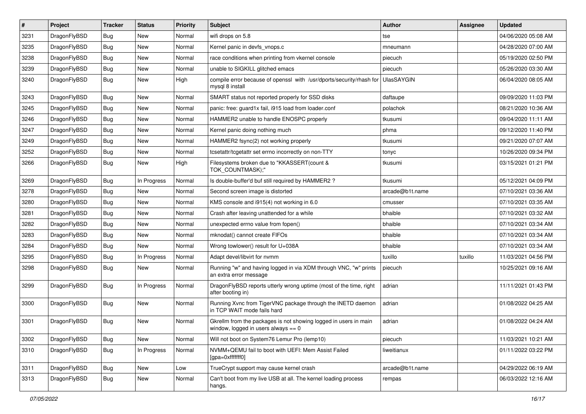| $\vert$ # | Project      | <b>Tracker</b> | <b>Status</b> | <b>Priority</b> | Subject                                                                                                   | Author            | Assignee | <b>Updated</b>      |
|-----------|--------------|----------------|---------------|-----------------|-----------------------------------------------------------------------------------------------------------|-------------------|----------|---------------------|
| 3231      | DragonFlyBSD | <b>Bug</b>     | <b>New</b>    | Normal          | wifi drops on 5.8                                                                                         | tse               |          | 04/06/2020 05:08 AM |
| 3235      | DragonFlyBSD | <b>Bug</b>     | <b>New</b>    | Normal          | Kernel panic in devfs vnops.c                                                                             | mneumann          |          | 04/28/2020 07:00 AM |
| 3238      | DragonFlyBSD | <b>Bug</b>     | <b>New</b>    | Normal          | race conditions when printing from vkernel console                                                        | piecuch           |          | 05/19/2020 02:50 PM |
| 3239      | DragonFlyBSD | Bug            | <b>New</b>    | Normal          | unable to SIGKILL glitched emacs                                                                          | piecuch           |          | 05/26/2020 03:30 AM |
| 3240      | DragonFlyBSD | Bug            | <b>New</b>    | High            | compile error because of openssl with /usr/dports/security/rhash for<br>mysql 8 install                   | <b>UlasSAYGIN</b> |          | 06/04/2020 08:05 AM |
| 3243      | DragonFlyBSD | Bug            | New           | Normal          | SMART status not reported properly for SSD disks                                                          | daftaupe          |          | 09/09/2020 11:03 PM |
| 3245      | DragonFlyBSD | <b>Bug</b>     | New           | Normal          | panic: free: guard1x fail, i915 load from loader.conf                                                     | polachok          |          | 08/21/2020 10:36 AM |
| 3246      | DragonFlyBSD | Bug            | <b>New</b>    | Normal          | HAMMER2 unable to handle ENOSPC properly                                                                  | tkusumi           |          | 09/04/2020 11:11 AM |
| 3247      | DragonFlyBSD | Bug            | <b>New</b>    | Normal          | Kernel panic doing nothing much                                                                           | phma              |          | 09/12/2020 11:40 PM |
| 3249      | DragonFlyBSD | <b>Bug</b>     | <b>New</b>    | Normal          | HAMMER2 fsync(2) not working properly                                                                     | tkusumi           |          | 09/21/2020 07:07 AM |
| 3252      | DragonFlyBSD | Bug            | <b>New</b>    | Normal          | tcsetattr/tcgetattr set errno incorrectly on non-TTY                                                      | tonyc             |          | 10/26/2020 09:34 PM |
| 3266      | DragonFlyBSD | Bug            | New           | High            | Filesystems broken due to "KKASSERT(count &<br>TOK_COUNTMASK);"                                           | tkusumi           |          | 03/15/2021 01:21 PM |
| 3269      | DragonFlyBSD | Bug            | In Progress   | Normal          | Is double-buffer'd buf still required by HAMMER2?                                                         | tkusumi           |          | 05/12/2021 04:09 PM |
| 3278      | DragonFlyBSD | <b>Bug</b>     | New           | Normal          | Second screen image is distorted                                                                          | arcade@b1t.name   |          | 07/10/2021 03:36 AM |
| 3280      | DragonFlyBSD | Bug            | <b>New</b>    | Normal          | KMS console and i915(4) not working in 6.0                                                                | cmusser           |          | 07/10/2021 03:35 AM |
| 3281      | DragonFlyBSD | <b>Bug</b>     | <b>New</b>    | Normal          | Crash after leaving unattended for a while                                                                | bhaible           |          | 07/10/2021 03:32 AM |
| 3282      | DragonFlyBSD | <b>Bug</b>     | New           | Normal          | unexpected errno value from fopen()                                                                       | bhaible           |          | 07/10/2021 03:34 AM |
| 3283      | DragonFlyBSD | Bug            | <b>New</b>    | Normal          | mknodat() cannot create FIFOs                                                                             | bhaible           |          | 07/10/2021 03:34 AM |
| 3284      | DragonFlyBSD | <b>Bug</b>     | New           | Normal          | Wrong towlower() result for U+038A                                                                        | bhaible           |          | 07/10/2021 03:34 AM |
| 3295      | DragonFlyBSD | Bug            | In Progress   | Normal          | Adapt devel/libvirt for nvmm                                                                              | tuxillo           | tuxillo  | 11/03/2021 04:56 PM |
| 3298      | DragonFlyBSD | Bug            | New           | Normal          | Running "w" and having logged in via XDM through VNC, "w" prints<br>an extra error message                | piecuch           |          | 10/25/2021 09:16 AM |
| 3299      | DragonFlyBSD | Bug            | In Progress   | Normal          | DragonFlyBSD reports utterly wrong uptime (most of the time, right<br>after booting in)                   | adrian            |          | 11/11/2021 01:43 PM |
| 3300      | DragonFlyBSD | Bug            | New           | Normal          | Running Xvnc from TigerVNC package through the INETD daemon<br>in TCP WAIT mode fails hard                | adrian            |          | 01/08/2022 04:25 AM |
| 3301      | DragonFlyBSD | <b>Bug</b>     | <b>New</b>    | Normal          | Gkrellm from the packages is not showing logged in users in main<br>window, logged in users always $== 0$ | adrian            |          | 01/08/2022 04:24 AM |
| 3302      | DragonFlyBSD | <b>Bug</b>     | New           | Normal          | Will not boot on System76 Lemur Pro (lemp10)                                                              | piecuch           |          | 11/03/2021 10:21 AM |
| 3310      | DragonFlyBSD | <b>Bug</b>     | In Progress   | Normal          | NVMM+QEMU fail to boot with UEFI: Mem Assist Failed<br>[gpa=0xfffffff0]                                   | liweitianux       |          | 01/11/2022 03:22 PM |
| 3311      | DragonFlyBSD | <b>Bug</b>     | New           | Low             | TrueCrypt support may cause kernel crash                                                                  | arcade@b1t.name   |          | 04/29/2022 06:19 AM |
| 3313      | DragonFlyBSD | <b>Bug</b>     | New           | Normal          | Can't boot from my live USB at all. The kernel loading process<br>hangs.                                  | rempas            |          | 06/03/2022 12:16 AM |